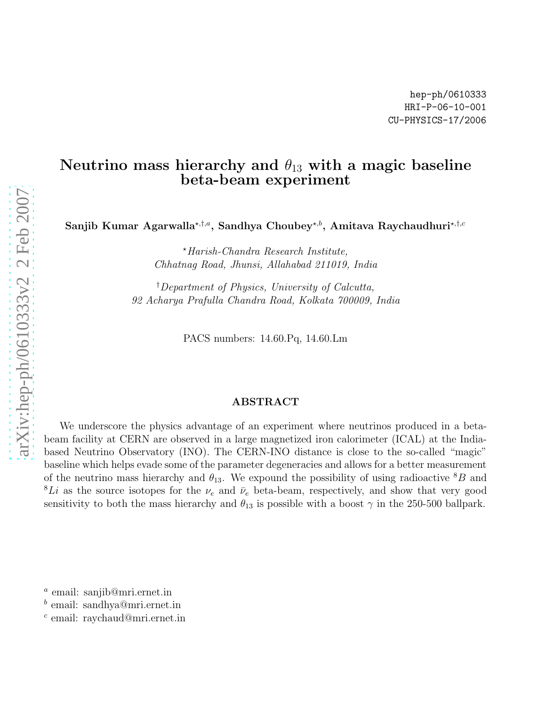# Neutrino mass hierarchy and  $\theta_{13}$  with a magic baseline beta-beam experiment

Sanjib Kumar Agarwalla<sup>\*,†,a</sup>, Sandhya Choubey<sup>\*,b</sup>, Amitava Raychaudhuri<sup>\*,†,c</sup>

<sup>⋆</sup>Harish-Chandra Research Institute, Chhatnag Road, Jhunsi, Allahabad 211019, India

†Department of Physics, University of Calcutta, 92 Acharya Prafulla Chandra Road, Kolkata 700009, India

PACS numbers: 14.60.Pq, 14.60.Lm

#### ABSTRACT

We underscore the physics advantage of an experiment where neutrinos produced in a betabeam facility at CERN are observed in a large magnetized iron calorimeter (ICAL) at the Indiabased Neutrino Observatory (INO). The CERN-INO distance is close to the so-called "magic" baseline which helps evade some of the parameter degeneracies and allows for a better measurement of the neutrino mass hierarchy and  $\theta_{13}$ . We expound the possibility of using radioactive  ${}^{8}B$  and <sup>8</sup>Li as the source isotopes for the  $\nu_e$  and  $\bar{\nu}_e$  beta-beam, respectively, and show that very good sensitivity to both the mass hierarchy and  $\theta_{13}$  is possible with a boost  $\gamma$  in the 250-500 ballpark.

<sup>&</sup>lt;sup>a</sup> email: sanjib@mri.ernet.in

b email: sandhya@mri.ernet.in

c email: raychaud@mri.ernet.in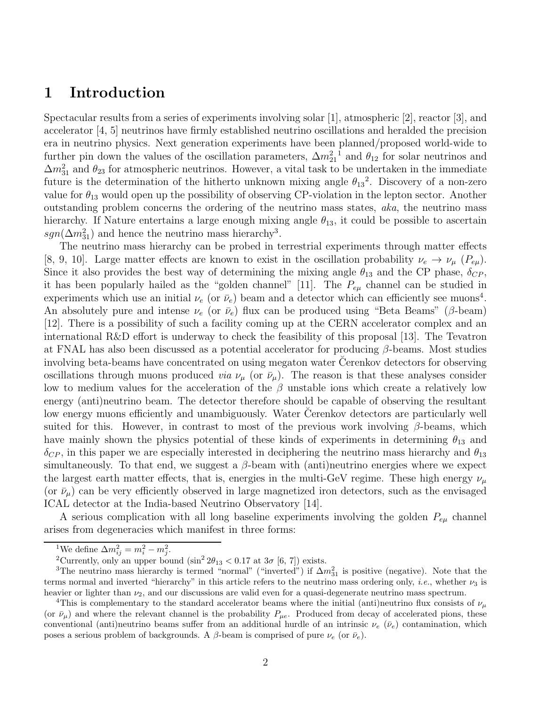# 1 Introduction

Spectacular results from a series of experiments involving solar [1], atmospheric [2], reactor [3], and accelerator [4, 5] neutrinos have firmly established neutrino oscillations and heralded the precision era in neutrino physics. Next generation experiments have been planned/proposed world-wide to further pin down the values of the oscillation parameters,  $\Delta m_{21}^2$ <sup>1</sup> and  $\theta_{12}$  for solar neutrinos and  $\Delta m_{31}^2$  and  $\theta_{23}$  for atmospheric neutrinos. However, a vital task to be undertaken in the immediate future is the determination of the hitherto unknown mixing angle  $\theta_{13}^2$ . Discovery of a non-zero value for  $\theta_{13}$  would open up the possibility of observing CP-violation in the lepton sector. Another outstanding problem concerns the ordering of the neutrino mass states, aka, the neutrino mass hierarchy. If Nature entertains a large enough mixing angle  $\theta_{13}$ , it could be possible to ascertain  $sgn(\Delta m_{31}^2)$  and hence the neutrino mass hierarchy<sup>3</sup>.

The neutrino mass hierarchy can be probed in terrestrial experiments through matter effects [8, 9, 10]. Large matter effects are known to exist in the oscillation probability  $\nu_e \to \nu_\mu$  ( $P_{e\mu}$ ). Since it also provides the best way of determining the mixing angle  $\theta_{13}$  and the CP phase,  $\delta_{CP}$ , it has been popularly hailed as the "golden channel" [11]. The  $P_{e\mu}$  channel can be studied in experiments which use an initial  $\nu_e$  (or  $\bar{\nu}_e$ ) beam and a detector which can efficiently see muons<sup>4</sup>. An absolutely pure and intense  $\nu_e$  (or  $\bar{\nu}_e$ ) flux can be produced using "Beta Beams" (β-beam) [12]. There is a possibility of such a facility coming up at the CERN accelerator complex and an international R&D effort is underway to check the feasibility of this proposal [13]. The Tevatron at FNAL has also been discussed as a potential accelerator for producing  $\beta$ -beams. Most studies involving beta-beams have concentrated on using megaton water Cerenkov detectors for observing oscillations through muons produced *via*  $\nu_{\mu}$  (or  $\bar{\nu}_{\mu}$ ). The reason is that these analyses consider low to medium values for the acceleration of the  $\beta$  unstable ions which create a relatively low energy (anti)neutrino beam. The detector therefore should be capable of observing the resultant low energy muons efficiently and unambiguously. Water Cerenkov detectors are particularly well suited for this. However, in contrast to most of the previous work involving  $\beta$ -beams, which have mainly shown the physics potential of these kinds of experiments in determining  $\theta_{13}$  and  $\delta_{CP}$ , in this paper we are especially interested in deciphering the neutrino mass hierarchy and  $\theta_{13}$ simultaneously. To that end, we suggest a  $\beta$ -beam with (anti)neutrino energies where we expect the largest earth matter effects, that is, energies in the multi-GeV regime. These high energy  $\nu_{\mu}$ (or  $\bar{\nu}_{\mu}$ ) can be very efficiently observed in large magnetized iron detectors, such as the envisaged ICAL detector at the India-based Neutrino Observatory [14].

A serious complication with all long baseline experiments involving the golden  $P_{e\mu}$  channel arises from degeneracies which manifest in three forms:

<sup>&</sup>lt;sup>1</sup>We define  $\Delta m_{ij}^2 = m_i^2 - m_j^2$ .

<sup>&</sup>lt;sup>2</sup>Currently, only an upper bound  $(\sin^2 2\theta_{13} < 0.17$  at  $3\sigma$  [6, 7]) exists.

<sup>&</sup>lt;sup>3</sup>The neutrino mass hierarchy is termed "normal" ("inverted") if  $\Delta m_{31}^2$  is positive (negative). Note that the terms normal and inverted "hierarchy" in this article refers to the neutrino mass ordering only, *i.e.*, whether  $\nu_3$  is heavier or lighter than  $\nu_2$ , and our discussions are valid even for a quasi-degenerate neutrino mass spectrum.

<sup>&</sup>lt;sup>4</sup>This is complementary to the standard accelerator beams where the initial (anti)neutrino flux consists of  $\nu_{\mu}$ (or  $\bar{\nu}_{\mu}$ ) and where the relevant channel is the probability  $P_{\mu e}$ . Produced from decay of accelerated pions, these conventional (anti)neutrino beams suffer from an additional hurdle of an intrinsic  $\nu_e$  ( $\bar{\nu}_e$ ) contamination, which poses a serious problem of backgrounds. A  $\beta$ -beam is comprised of pure  $\nu_e$  (or  $\bar{\nu}_e$ ).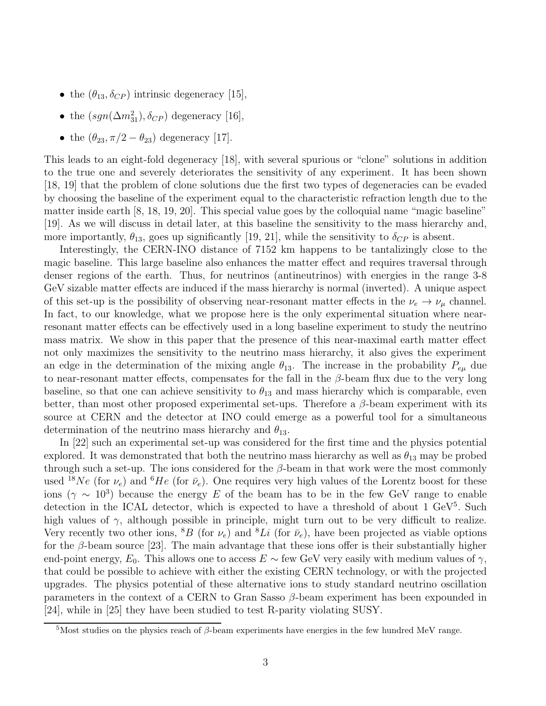- the  $(\theta_{13}, \delta_{CP})$  intrinsic degeneracy [15],
- the  $(sgn(\Delta m_{31}^2), \delta_{CP})$  degeneracy [16],
- the  $(\theta_{23}, \pi/2 \theta_{23})$  degeneracy [17].

This leads to an eight-fold degeneracy [18], with several spurious or "clone" solutions in addition to the true one and severely deteriorates the sensitivity of any experiment. It has been shown [18, 19] that the problem of clone solutions due the first two types of degeneracies can be evaded by choosing the baseline of the experiment equal to the characteristic refraction length due to the matter inside earth [8, 18, 19, 20]. This special value goes by the colloquial name "magic baseline" [19]. As we will discuss in detail later, at this baseline the sensitivity to the mass hierarchy and, more importantly,  $\theta_{13}$ , goes up significantly [19, 21], while the sensitivity to  $\delta_{CP}$  is absent.

Interestingly, the CERN-INO distance of 7152 km happens to be tantalizingly close to the magic baseline. This large baseline also enhances the matter effect and requires traversal through denser regions of the earth. Thus, for neutrinos (antineutrinos) with energies in the range 3-8 GeV sizable matter effects are induced if the mass hierarchy is normal (inverted). A unique aspect of this set-up is the possibility of observing near-resonant matter effects in the  $\nu_e \rightarrow \nu_\mu$  channel. In fact, to our knowledge, what we propose here is the only experimental situation where nearresonant matter effects can be effectively used in a long baseline experiment to study the neutrino mass matrix. We show in this paper that the presence of this near-maximal earth matter effect not only maximizes the sensitivity to the neutrino mass hierarchy, it also gives the experiment an edge in the determination of the mixing angle  $\theta_{13}$ . The increase in the probability  $P_{e\mu}$  due to near-resonant matter effects, compensates for the fall in the  $\beta$ -beam flux due to the very long baseline, so that one can achieve sensitivity to  $\theta_{13}$  and mass hierarchy which is comparable, even better, than most other proposed experimental set-ups. Therefore a  $\beta$ -beam experiment with its source at CERN and the detector at INO could emerge as a powerful tool for a simultaneous determination of the neutrino mass hierarchy and  $\theta_{13}$ .

In [22] such an experimental set-up was considered for the first time and the physics potential explored. It was demonstrated that both the neutrino mass hierarchy as well as  $\theta_{13}$  may be probed through such a set-up. The ions considered for the  $\beta$ -beam in that work were the most commonly used <sup>18</sup>Ne (for  $\nu_e$ ) and <sup>6</sup>He (for  $\bar{\nu}_e$ ). One requires very high values of the Lorentz boost for these ions ( $\gamma \sim 10^3$ ) because the energy E of the beam has to be in the few GeV range to enable detection in the ICAL detector, which is expected to have a threshold of about 1 GeV<sup>5</sup>. Such high values of  $\gamma$ , although possible in principle, might turn out to be very difficult to realize. Very recently two other ions, <sup>8</sup>B (for  $\nu_e$ ) and <sup>8</sup>Li (for  $\bar{\nu}_e$ ), have been projected as viable options for the  $\beta$ -beam source [23]. The main advantage that these ions offer is their substantially higher end-point energy,  $E_0$ . This allows one to access  $E \sim$  few GeV very easily with medium values of  $\gamma$ , that could be possible to achieve with either the existing CERN technology, or with the projected upgrades. The physics potential of these alternative ions to study standard neutrino oscillation parameters in the context of a CERN to Gran Sasso  $\beta$ -beam experiment has been expounded in [24], while in [25] they have been studied to test R-parity violating SUSY.

<sup>&</sup>lt;sup>5</sup>Most studies on the physics reach of  $\beta$ -beam experiments have energies in the few hundred MeV range.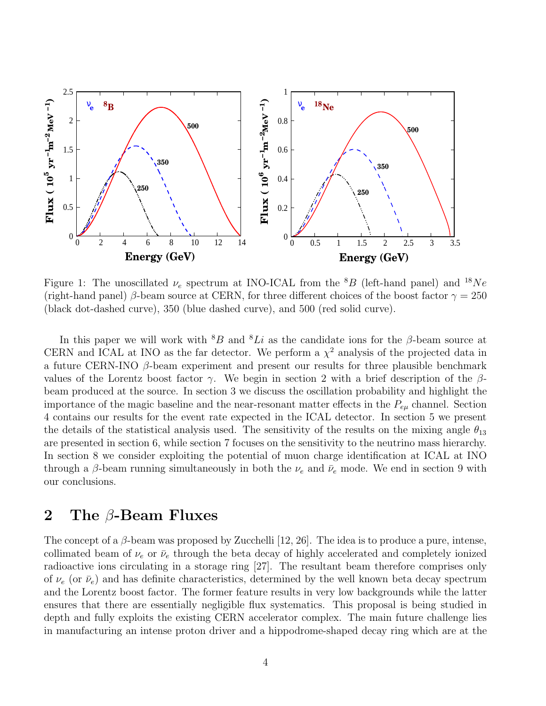

Figure 1: The unoscillated  $\nu_e$  spectrum at INO-ICAL from the <sup>8</sup>B (left-hand panel) and <sup>18</sup>Ne (right-hand panel) β-beam source at CERN, for three different choices of the boost factor  $\gamma = 250$ (black dot-dashed curve), 350 (blue dashed curve), and 500 (red solid curve).

In this paper we will work with  ${}^{8}B$  and  ${}^{8}Li$  as the candidate ions for the  $\beta$ -beam source at CERN and ICAL at INO as the far detector. We perform a  $\chi^2$  analysis of the projected data in a future CERN-INO  $\beta$ -beam experiment and present our results for three plausible benchmark values of the Lorentz boost factor  $\gamma$ . We begin in section 2 with a brief description of the  $\beta$ beam produced at the source. In section 3 we discuss the oscillation probability and highlight the importance of the magic baseline and the near-resonant matter effects in the  $P_{e\mu}$  channel. Section 4 contains our results for the event rate expected in the ICAL detector. In section 5 we present the details of the statistical analysis used. The sensitivity of the results on the mixing angle  $\theta_{13}$ are presented in section 6, while section 7 focuses on the sensitivity to the neutrino mass hierarchy. In section 8 we consider exploiting the potential of muon charge identification at ICAL at INO through a  $\beta$ -beam running simultaneously in both the  $\nu_e$  and  $\bar{\nu}_e$  mode. We end in section 9 with our conclusions.

# 2 The β-Beam Fluxes

The concept of a  $\beta$ -beam was proposed by Zucchelli [12, 26]. The idea is to produce a pure, intense, collimated beam of  $\nu_e$  or  $\bar{\nu}_e$  through the beta decay of highly accelerated and completely ionized radioactive ions circulating in a storage ring [27]. The resultant beam therefore comprises only of  $\nu_e$  (or  $\bar{\nu}_e$ ) and has definite characteristics, determined by the well known beta decay spectrum and the Lorentz boost factor. The former feature results in very low backgrounds while the latter ensures that there are essentially negligible flux systematics. This proposal is being studied in depth and fully exploits the existing CERN accelerator complex. The main future challenge lies in manufacturing an intense proton driver and a hippodrome-shaped decay ring which are at the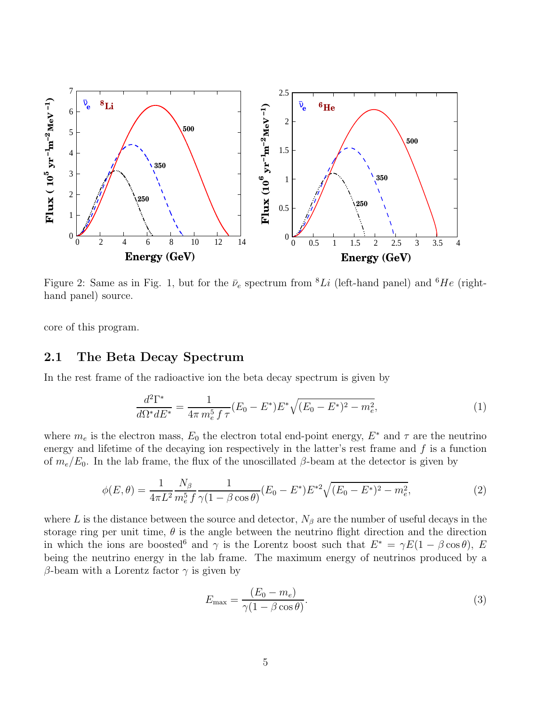

Figure 2: Same as in Fig. 1, but for the  $\bar{\nu}_e$  spectrum from <sup>8</sup>Li (left-hand panel) and <sup>6</sup>He (righthand panel) source.

core of this program.

#### 2.1 The Beta Decay Spectrum

In the rest frame of the radioactive ion the beta decay spectrum is given by

$$
\frac{d^2\Gamma^*}{d\Omega^* dE^*} = \frac{1}{4\pi m_e^5 f \tau} (E_0 - E^*) E^* \sqrt{(E_0 - E^*)^2 - m_e^2},\tag{1}
$$

where  $m_e$  is the electron mass,  $E_0$  the electron total end-point energy,  $E^*$  and  $\tau$  are the neutrino energy and lifetime of the decaying ion respectively in the latter's rest frame and  $f$  is a function of  $m_e/E_0$ . In the lab frame, the flux of the unoscillated β-beam at the detector is given by

$$
\phi(E,\theta) = \frac{1}{4\pi L^2} \frac{N_\beta}{m_e^5 f} \frac{1}{\gamma (1 - \beta \cos \theta)} (E_0 - E^*) E^{*2} \sqrt{(E_0 - E^*)^2 - m_e^2},\tag{2}
$$

where L is the distance between the source and detector,  $N_{\beta}$  are the number of useful decays in the storage ring per unit time,  $\theta$  is the angle between the neutrino flight direction and the direction in which the ions are boosted<sup>6</sup> and  $\gamma$  is the Lorentz boost such that  $E^* = \gamma E(1 - \beta \cos \theta)$ , E being the neutrino energy in the lab frame. The maximum energy of neutrinos produced by a β-beam with a Lorentz factor  $\gamma$  is given by

$$
E_{\text{max}} = \frac{(E_0 - m_e)}{\gamma (1 - \beta \cos \theta)}.
$$
\n(3)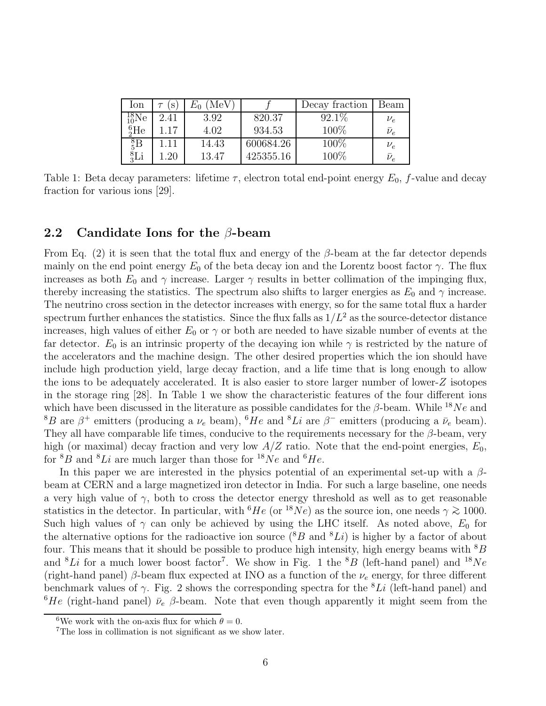| Ion             | S.   | (MeV)<br>$E_0$ |           | Decay fraction | Beam          |
|-----------------|------|----------------|-----------|----------------|---------------|
| $^{18}_{10}Ne$  | 2.41 | 3.92           | 820.37    | $92.1\%$       | $\nu_e$       |
| ${}^{6}_{9}He$  |      | 4.02           | 934.53    | 100%           | $\bar{\nu}_e$ |
| ${}_{5}^{8}B$   |      | 14.43          | 600684.26 | 100%           | $\nu_e$       |
| ${}^{8}_{2}$ Li | .20  | 13.47          | 425355.16 | $100\%$        | $\bar{\nu}_e$ |

Table 1: Beta decay parameters: lifetime  $\tau$ , electron total end-point energy  $E_0$ , f-value and decay fraction for various ions [29].

#### 2.2 Candidate Ions for the  $\beta$ -beam

From Eq. (2) it is seen that the total flux and energy of the  $\beta$ -beam at the far detector depends mainly on the end point energy  $E_0$  of the beta decay ion and the Lorentz boost factor  $\gamma$ . The flux increases as both  $E_0$  and  $\gamma$  increase. Larger  $\gamma$  results in better collimation of the impinging flux, thereby increasing the statistics. The spectrum also shifts to larger energies as  $E_0$  and  $\gamma$  increase. The neutrino cross section in the detector increases with energy, so for the same total flux a harder spectrum further enhances the statistics. Since the flux falls as  $1/L^2$  as the source-detector distance increases, high values of either  $E_0$  or  $\gamma$  or both are needed to have sizable number of events at the far detector.  $E_0$  is an intrinsic property of the decaying ion while  $\gamma$  is restricted by the nature of the accelerators and the machine design. The other desired properties which the ion should have include high production yield, large decay fraction, and a life time that is long enough to allow the ions to be adequately accelerated. It is also easier to store larger number of lower-Z isotopes in the storage ring [28]. In Table 1 we show the characteristic features of the four different ions which have been discussed in the literature as possible candidates for the  $\beta$ -beam. While <sup>18</sup>Ne and <sup>8</sup>B are  $\beta^+$  emitters (producing a  $\nu_e$  beam), <sup>6</sup>He and <sup>8</sup>Li are  $\beta^-$  emitters (producing a  $\bar{\nu}_e$  beam). They all have comparable life times, conducive to the requirements necessary for the  $\beta$ -beam, very high (or maximal) decay fraction and very low  $A/Z$  ratio. Note that the end-point energies,  $E_0$ , for  ${}^{8}B$  and  ${}^{8}Li$  are much larger than those for  ${}^{18}Ne$  and  ${}^{6}He$ .

In this paper we are interested in the physics potential of an experimental set-up with a  $\beta$ beam at CERN and a large magnetized iron detector in India. For such a large baseline, one needs a very high value of  $\gamma$ , both to cross the detector energy threshold as well as to get reasonable statistics in the detector. In particular, with <sup>6</sup>He (or <sup>18</sup>Ne) as the source ion, one needs  $\gamma \gtrsim 1000$ . Such high values of  $\gamma$  can only be achieved by using the LHC itself. As noted above,  $E_0$  for the alternative options for the radioactive ion source ( ${}^{8}B$  and  ${}^{8}Li$ ) is higher by a factor of about four. This means that it should be possible to produce high intensity, high energy beams with  ${}^{8}B$ and  ${}^{8}Li$  for a much lower boost factor<sup>7</sup>. We show in Fig. 1 the  ${}^{8}B$  (left-hand panel) and  ${}^{18}Ne$ (right-hand panel)  $\beta$ -beam flux expected at INO as a function of the  $\nu_e$  energy, for three different benchmark values of  $\gamma$ . Fig. 2 shows the corresponding spectra for the <sup>8</sup>Li (left-hand panel) and <sup>6</sup>He (right-hand panel)  $\bar{\nu}_e$  β-beam. Note that even though apparently it might seem from the

<sup>&</sup>lt;sup>6</sup>We work with the on-axis flux for which  $\theta = 0$ .

<sup>7</sup>The loss in collimation is not significant as we show later.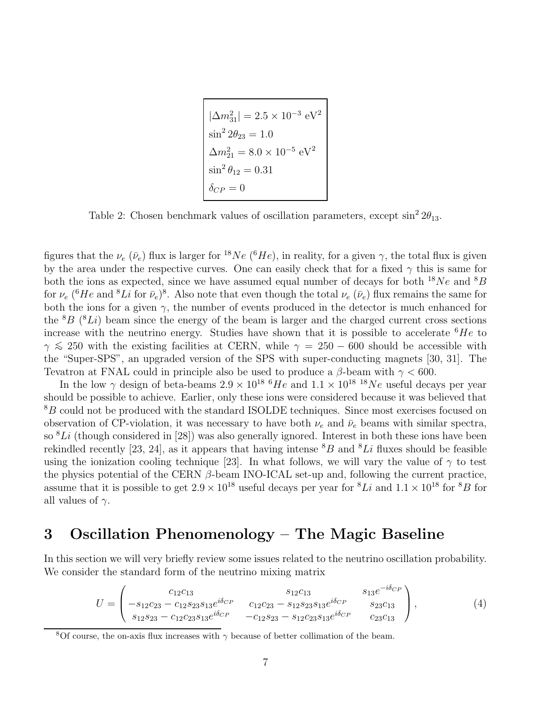$$
|\Delta m_{31}^2| = 2.5 \times 10^{-3} \text{ eV}^2
$$
  
\n
$$
\sin^2 2\theta_{23} = 1.0
$$
  
\n
$$
\Delta m_{21}^2 = 8.0 \times 10^{-5} \text{ eV}^2
$$
  
\n
$$
\sin^2 \theta_{12} = 0.31
$$
  
\n
$$
\delta_{CP} = 0
$$

Table 2: Chosen benchmark values of oscillation parameters, except  $\sin^2 2\theta_{13}$ .

figures that the  $\nu_e$  ( $\bar{\nu}_e$ ) flux is larger for <sup>18</sup>Ne (<sup>6</sup>He), in reality, for a given  $\gamma$ , the total flux is given by the area under the respective curves. One can easily check that for a fixed  $\gamma$  this is same for both the ions as expected, since we have assumed equal number of decays for both  $^{18}Ne$  and  $^{8}B$ for  $\nu_e$  (<sup>6</sup>He and <sup>8</sup>Li for  $\bar{\nu}_e$ )<sup>8</sup>. Also note that even though the total  $\nu_e$  ( $\bar{\nu}_e$ ) flux remains the same for both the ions for a given  $\gamma$ , the number of events produced in the detector is much enhanced for the  ${}^{8}B$  ( ${}^{8}Li$ ) beam since the energy of the beam is larger and the charged current cross sections increase with the neutrino energy. Studies have shown that it is possible to accelerate  ${}^{6}He$  to  $\gamma \le 250$  with the existing facilities at CERN, while  $\gamma = 250 - 600$  should be accessible with the "Super-SPS", an upgraded version of the SPS with super-conducting magnets [30, 31]. The Tevatron at FNAL could in principle also be used to produce a  $\beta$ -beam with  $\gamma < 600$ .

In the low  $\gamma$  design of beta-beams  $2.9 \times 10^{18}$  <sup>6</sup>He and  $1.1 \times 10^{18}$  <sup>18</sup>Ne useful decays per year should be possible to achieve. Earlier, only these ions were considered because it was believed that <sup>8</sup>B could not be produced with the standard ISOLDE techniques. Since most exercises focused on observation of CP-violation, it was necessary to have both  $\nu_e$  and  $\bar{\nu}_e$  beams with similar spectra, so  ${}^{8}Li$  (though considered in [28]) was also generally ignored. Interest in both these ions have been rekindled recently [23, 24], as it appears that having intense  ${}^{8}B$  and  ${}^{8}Li$  fluxes should be feasible using the ionization cooling technique [23]. In what follows, we will vary the value of  $\gamma$  to test the physics potential of the CERN  $\beta$ -beam INO-ICAL set-up and, following the current practice, assume that it is possible to get  $2.9 \times 10^{18}$  useful decays per year for  ${}^{8}Li$  and  $1.1 \times 10^{18}$  for  ${}^{8}B$  for all values of  $\gamma$ .

# 3 Oscillation Phenomenology – The Magic Baseline

In this section we will very briefly review some issues related to the neutrino oscillation probability. We consider the standard form of the neutrino mixing matrix

$$
U = \begin{pmatrix} c_{12}c_{13} & s_{12}c_{13} & s_{13}e^{-i\delta_{CP}} \\ -s_{12}c_{23} - c_{12}s_{23}s_{13}e^{i\delta_{CP}} & c_{12}c_{23} - s_{12}s_{23}s_{13}e^{i\delta_{CP}} & s_{23}c_{13} \\ s_{12}s_{23} - c_{12}c_{23}s_{13}e^{i\delta_{CP}} & -c_{12}s_{23} - s_{12}c_{23}s_{13}e^{i\delta_{CP}} & c_{23}c_{13} \end{pmatrix},
$$
\n
$$
(4)
$$

<sup>&</sup>lt;sup>8</sup>Of course, the on-axis flux increases with  $\gamma$  because of better collimation of the beam.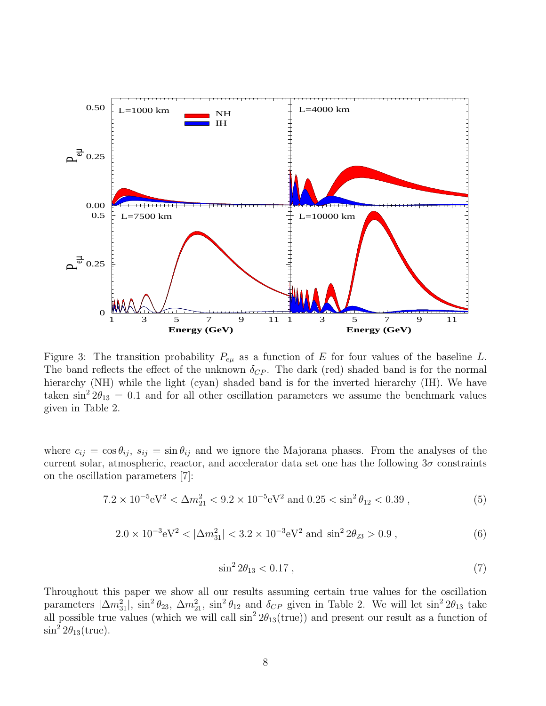

Figure 3: The transition probability  $P_{e\mu}$  as a function of E for four values of the baseline L. The band reflects the effect of the unknown  $\delta_{CP}$ . The dark (red) shaded band is for the normal hierarchy (NH) while the light (cyan) shaded band is for the inverted hierarchy (IH). We have taken  $\sin^2 2\theta_{13} = 0.1$  and for all other oscillation parameters we assume the benchmark values given in Table 2.

where  $c_{ij} = \cos \theta_{ij}$ ,  $s_{ij} = \sin \theta_{ij}$  and we ignore the Majorana phases. From the analyses of the current solar, atmospheric, reactor, and accelerator data set one has the following  $3\sigma$  constraints on the oscillation parameters [7]:

$$
7.2 \times 10^{-5} \, \text{eV}^2 < \Delta m_{21}^2 < 9.2 \times 10^{-5} \, \text{eV}^2 \text{ and } 0.25 < \sin^2 \theta_{12} < 0.39 \,, \tag{5}
$$

$$
2.0 \times 10^{-3} \text{eV}^2 < |\Delta m_{31}^2| < 3.2 \times 10^{-3} \text{eV}^2 \text{ and } \sin^2 2\theta_{23} > 0.9 \,, \tag{6}
$$

$$
\sin^2 2\theta_{13} < 0.17 \tag{7}
$$

Throughout this paper we show all our results assuming certain true values for the oscillation parameters  $|\Delta m_{31}^2|$ ,  $\sin^2 \theta_{23}$ ,  $\Delta m_{21}^2$ ,  $\sin^2 \theta_{12}$  and  $\delta_{CP}$  given in Table 2. We will let  $\sin^2 2\theta_{13}$  take all possible true values (which we will call  $\sin^2 2\theta_{13}$ (true)) and present our result as a function of  $\sin^2 2\theta_{13}$ (true).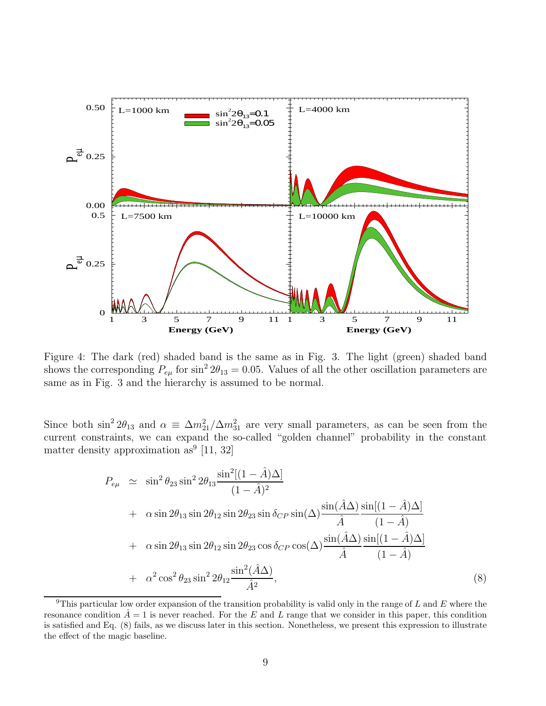

Figure 4: The dark (red) shaded band is the same as in Fig. 3. The light (green) shaded band shows the corresponding  $P_{e\mu}$  for  $\sin^2 2\theta_{13} = 0.05$ . Values of all the other oscillation parameters are same as in Fig. 3 and the hierarchy is assumed to be normal.

Since both  $\sin^2 2\theta_{13}$  and  $\alpha \equiv \Delta m_{21}^2 / \Delta m_{31}^2$  are very small parameters, as can be seen from the current constraints, we can expand the so-called "golden channel" probability in the constant matter density approximation as<sup>9</sup> [11, 32]

$$
P_{e\mu} \simeq \sin^2 \theta_{23} \sin^2 2\theta_{13} \frac{\sin^2[(1-\hat{A})\Delta]}{(1-\hat{A})^2} + \alpha \sin 2\theta_{13} \sin 2\theta_{12} \sin 2\theta_{23} \sin \delta_{CP} \sin(\Delta) \frac{\sin(\hat{A}\Delta)}{\hat{A}} \frac{\sin[(1-\hat{A})\Delta]}{(1-\hat{A})} + \alpha \sin 2\theta_{13} \sin 2\theta_{12} \sin 2\theta_{23} \cos \delta_{CP} \cos(\Delta) \frac{\sin(\hat{A}\Delta)}{\hat{A}} \frac{\sin[(1-\hat{A})\Delta]}{(1-\hat{A})} + \alpha^2 \cos^2 \theta_{23} \sin^2 2\theta_{12} \frac{\sin^2(\hat{A}\Delta)}{\hat{A}^2},
$$
(8)

<sup>&</sup>lt;sup>9</sup>This particular low order expansion of the transition probability is valid only in the range of L and E where the resonance condition  $A = 1$  is never reached. For the E and L range that we consider in this paper, this condition is satisfied and Eq. (8) fails, as we discuss later in this section. Nonetheless, we present this expression to illustrate the effect of the magic baseline.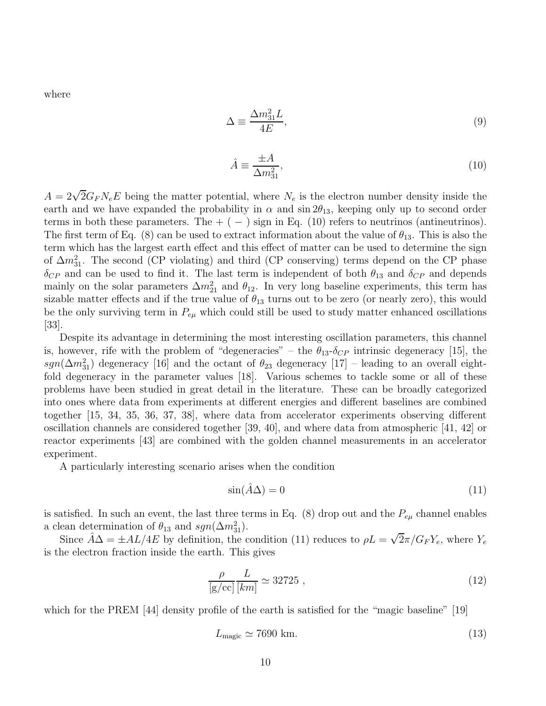where

$$
\Delta \equiv \frac{\Delta m_{31}^2 L}{4E},\tag{9}
$$

$$
\hat{A} \equiv \frac{\pm A}{\Delta m_{31}^2},\tag{10}
$$

 $A = 2\sqrt{2}G_F N_e E$  being the matter potential, where  $N_e$  is the electron number density inside the earth and we have expanded the probability in  $\alpha$  and  $\sin 2\theta_{13}$ , keeping only up to second order terms in both these parameters. The  $+ (-)$  sign in Eq. (10) refers to neutrinos (antineutrinos). The first term of Eq. (8) can be used to extract information about the value of  $\theta_{13}$ . This is also the term which has the largest earth effect and this effect of matter can be used to determine the sign of  $\Delta m_{31}^2$ . The second (CP violating) and third (CP conserving) terms depend on the CP phase  $\delta_{CP}$  and can be used to find it. The last term is independent of both  $\theta_{13}$  and  $\delta_{CP}$  and depends mainly on the solar parameters  $\Delta m_{21}^2$  and  $\theta_{12}$ . In very long baseline experiments, this term has sizable matter effects and if the true value of  $\theta_{13}$  turns out to be zero (or nearly zero), this would be the only surviving term in  $P_{e\mu}$  which could still be used to study matter enhanced oscillations [33].

Despite its advantage in determining the most interesting oscillation parameters, this channel is, however, rife with the problem of "degeneracies" – the  $\theta_{13}$ - $\delta_{CP}$  intrinsic degeneracy [15], the  $sgn(\Delta m_{31}^2)$  degeneracy [16] and the octant of  $\theta_{23}$  degeneracy [17] – leading to an overall eightfold degeneracy in the parameter values [18]. Various schemes to tackle some or all of these problems have been studied in great detail in the literature. These can be broadly categorized into ones where data from experiments at different energies and different baselines are combined together [15, 34, 35, 36, 37, 38], where data from accelerator experiments observing different oscillation channels are considered together [39, 40], and where data from atmospheric [41, 42] or reactor experiments [43] are combined with the golden channel measurements in an accelerator experiment.

A particularly interesting scenario arises when the condition

$$
\sin(\hat{A}\Delta) = 0\tag{11}
$$

is satisfied. In such an event, the last three terms in Eq. (8) drop out and the  $P_{e\mu}$  channel enables a clean determination of  $\theta_{13}$  and  $sgn(\Delta m_{31}^2)$ .

Since  $\hat{A}\Delta = \pm A L/4E$  by definition, the condition (11) reduces to  $\rho L = \sqrt{2}\pi/G_F Y_e$ , where  $Y_e$ is the electron fraction inside the earth. This gives

$$
\frac{\rho}{\left[g/cc\right]}\frac{L}{\left[km\right]} \simeq 32725\;, \tag{12}
$$

which for the PREM [44] density profile of the earth is satisfied for the "magic baseline" [19]

$$
L_{\text{magic}} \simeq 7690 \text{ km.} \tag{13}
$$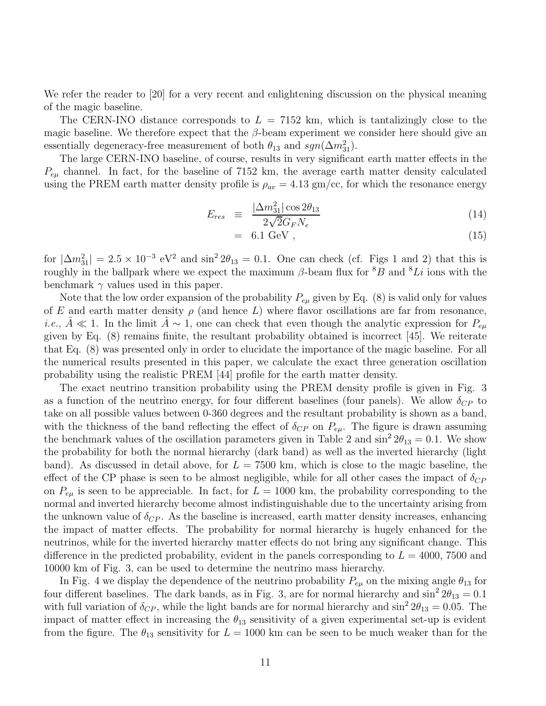We refer the reader to [20] for a very recent and enlightening discussion on the physical meaning of the magic baseline.

The CERN-INO distance corresponds to  $L = 7152$  km, which is tantalizingly close to the magic baseline. We therefore expect that the  $\beta$ -beam experiment we consider here should give an essentially degeneracy-free measurement of both  $\theta_{13}$  and  $sgn(\Delta m_{31}^2)$ .

The large CERN-INO baseline, of course, results in very significant earth matter effects in the  $P_{e\mu}$  channel. In fact, for the baseline of 7152 km, the average earth matter density calculated using the PREM earth matter density profile is  $\rho_{av} = 4.13 \text{ gm/cc}$ , for which the resonance energy

$$
E_{res} \equiv \frac{|\Delta m_{31}^2| \cos 2\theta_{13}}{2\sqrt{2}G_F N_e} \tag{14}
$$

$$
= 6.1 \text{ GeV}, \tag{15}
$$

for  $|\Delta m_{31}^2| = 2.5 \times 10^{-3} \text{ eV}^2$  and  $\sin^2 2\theta_{13} = 0.1$ . One can check (cf. Figs 1 and 2) that this is roughly in the ballpark where we expect the maximum β-beam flux for <sup>8</sup>B and <sup>8</sup>Li ions with the benchmark  $\gamma$  values used in this paper.

Note that the low order expansion of the probability  $P_{e\mu}$  given by Eq. (8) is valid only for values of E and earth matter density  $\rho$  (and hence L) where flavor oscillations are far from resonance, *i.e.*,  $\hat{A} \ll 1$ . In the limit  $\hat{A} \sim 1$ , one can check that even though the analytic expression for  $P_{e\mu}$ given by Eq. (8) remains finite, the resultant probability obtained is incorrect [45]. We reiterate that Eq. (8) was presented only in order to elucidate the importance of the magic baseline. For all the numerical results presented in this paper, we calculate the exact three generation oscillation probability using the realistic PREM [44] profile for the earth matter density.

The exact neutrino transition probability using the PREM density profile is given in Fig. 3 as a function of the neutrino energy, for four different baselines (four panels). We allow  $\delta_{CP}$  to take on all possible values between 0-360 degrees and the resultant probability is shown as a band, with the thickness of the band reflecting the effect of  $\delta_{CP}$  on  $P_{e\mu}$ . The figure is drawn assuming the benchmark values of the oscillation parameters given in Table 2 and  $\sin^2 2\theta_{13} = 0.1$ . We show the probability for both the normal hierarchy (dark band) as well as the inverted hierarchy (light band). As discussed in detail above, for  $L = 7500$  km, which is close to the magic baseline, the effect of the CP phase is seen to be almost negligible, while for all other cases the impact of  $\delta_{CP}$ on  $P_{e\mu}$  is seen to be appreciable. In fact, for  $L = 1000$  km, the probability corresponding to the normal and inverted hierarchy become almost indistinguishable due to the uncertainty arising from the unknown value of  $\delta_{CP}$ . As the baseline is increased, earth matter density increases, enhancing the impact of matter effects. The probability for normal hierarchy is hugely enhanced for the neutrinos, while for the inverted hierarchy matter effects do not bring any significant change. This difference in the predicted probability, evident in the panels corresponding to  $L = 4000, 7500$  and 10000 km of Fig. 3, can be used to determine the neutrino mass hierarchy.

In Fig. 4 we display the dependence of the neutrino probability  $P_{e\mu}$  on the mixing angle  $\theta_{13}$  for four different baselines. The dark bands, as in Fig. 3, are for normal hierarchy and  $\sin^2 2\theta_{13} = 0.1$ with full variation of  $\delta_{CP}$ , while the light bands are for normal hierarchy and  $\sin^2 2\theta_{13} = 0.05$ . The impact of matter effect in increasing the  $\theta_{13}$  sensitivity of a given experimental set-up is evident from the figure. The  $\theta_{13}$  sensitivity for  $L = 1000$  km can be seen to be much weaker than for the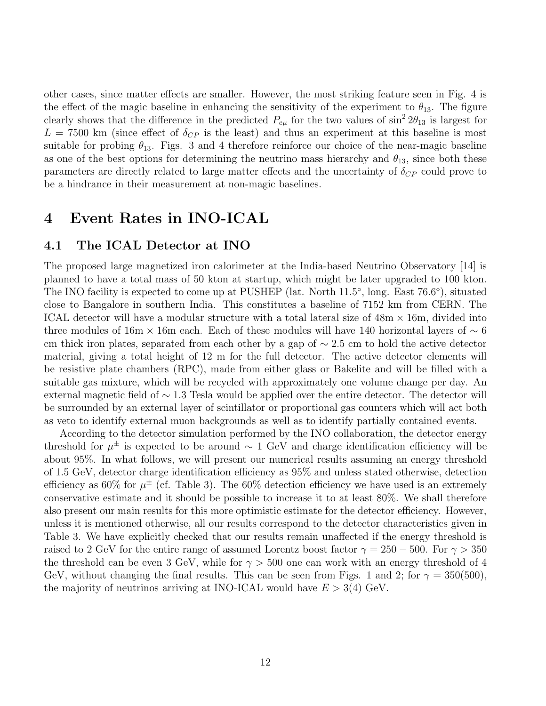other cases, since matter effects are smaller. However, the most striking feature seen in Fig. 4 is the effect of the magic baseline in enhancing the sensitivity of the experiment to  $\theta_{13}$ . The figure clearly shows that the difference in the predicted  $P_{e\mu}$  for the two values of  $\sin^2 2\theta_{13}$  is largest for  $L = 7500$  km (since effect of  $\delta_{CP}$  is the least) and thus an experiment at this baseline is most suitable for probing  $\theta_{13}$ . Figs. 3 and 4 therefore reinforce our choice of the near-magic baseline as one of the best options for determining the neutrino mass hierarchy and  $\theta_{13}$ , since both these parameters are directly related to large matter effects and the uncertainty of  $\delta_{CP}$  could prove to be a hindrance in their measurement at non-magic baselines.

# 4 Event Rates in INO-ICAL

#### 4.1 The ICAL Detector at INO

The proposed large magnetized iron calorimeter at the India-based Neutrino Observatory [14] is planned to have a total mass of 50 kton at startup, which might be later upgraded to 100 kton. The INO facility is expected to come up at PUSHEP (lat. North 11.5<sup>°</sup>, long. East 76.6<sup>°</sup>), situated close to Bangalore in southern India. This constitutes a baseline of 7152 km from CERN. The ICAL detector will have a modular structure with a total lateral size of  $48m \times 16m$ , divided into three modules of 16m × 16m each. Each of these modules will have 140 horizontal layers of  $\sim 6$ cm thick iron plates, separated from each other by a gap of  $\sim 2.5$  cm to hold the active detector material, giving a total height of 12 m for the full detector. The active detector elements will be resistive plate chambers (RPC), made from either glass or Bakelite and will be filled with a suitable gas mixture, which will be recycled with approximately one volume change per day. An external magnetic field of  $\sim$  1.3 Tesla would be applied over the entire detector. The detector will be surrounded by an external layer of scintillator or proportional gas counters which will act both as veto to identify external muon backgrounds as well as to identify partially contained events.

According to the detector simulation performed by the INO collaboration, the detector energy threshold for  $\mu^{\pm}$  is expected to be around ~ 1 GeV and charge identification efficiency will be about 95%. In what follows, we will present our numerical results assuming an energy threshold of 1.5 GeV, detector charge identification efficiency as 95% and unless stated otherwise, detection efficiency as 60% for  $\mu^{\pm}$  (cf. Table 3). The 60% detection efficiency we have used is an extremely conservative estimate and it should be possible to increase it to at least 80%. We shall therefore also present our main results for this more optimistic estimate for the detector efficiency. However, unless it is mentioned otherwise, all our results correspond to the detector characteristics given in Table 3. We have explicitly checked that our results remain unaffected if the energy threshold is raised to 2 GeV for the entire range of assumed Lorentz boost factor  $\gamma = 250 - 500$ . For  $\gamma > 350$ the threshold can be even 3 GeV, while for  $\gamma > 500$  one can work with an energy threshold of 4 GeV, without changing the final results. This can be seen from Figs. 1 and 2; for  $\gamma = 350(500)$ , the majority of neutrinos arriving at INO-ICAL would have  $E > 3(4)$  GeV.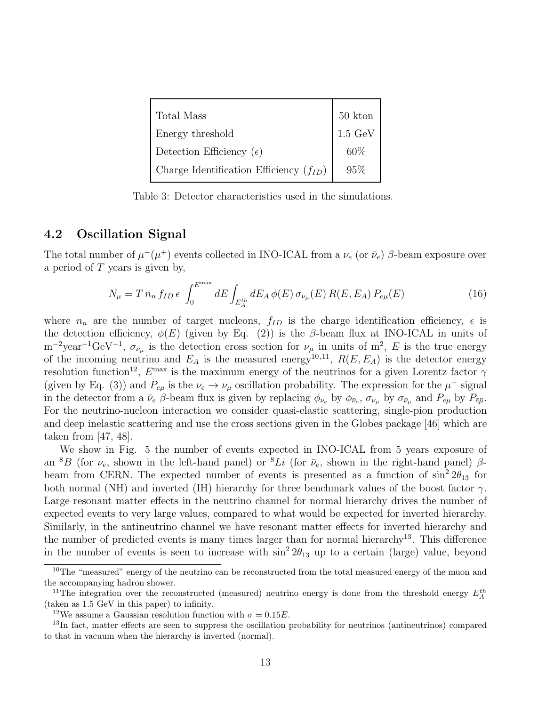| Total Mass                                  | 50 kton           |
|---------------------------------------------|-------------------|
| Energy threshold                            | $1.5 \text{ GeV}$ |
| Detection Efficiency $(\epsilon)$           | $60\%$            |
| Charge Identification Efficiency $(f_{ID})$ | $95\%$            |

Table 3: Detector characteristics used in the simulations.

#### 4.2 Oscillation Signal

The total number of  $\mu^-(\mu^+)$  events collected in INO-ICAL from a  $\nu_e$  (or  $\bar{\nu}_e$ )  $\beta$ -beam exposure over a period of  $T$  years is given by,

$$
N_{\mu} = T n_n f_{ID} \epsilon \int_0^{E^{\max}} dE \int_{E_A^{\text{th}}} dE_A \phi(E) \sigma_{\nu_{\mu}}(E) R(E, E_A) P_{e\mu}(E) \tag{16}
$$

where  $n_n$  are the number of target nucleons,  $f_{ID}$  is the charge identification efficiency,  $\epsilon$  is the detection efficiency,  $\phi(E)$  (given by Eq. (2)) is the β-beam flux at INO-ICAL in units of  $m^{-2}$ year<sup>-1</sup>GeV<sup>-1</sup>,  $\sigma_{\nu_{\mu}}$  is the detection cross section for  $\nu_{\mu}$  in units of m<sup>2</sup>, E is the true energy of the incoming neutrino and  $E_A$  is the measured energy<sup>10,11</sup>,  $R(E, E_A)$  is the detector energy resolution function<sup>12</sup>,  $E^{\text{max}}$  is the maximum energy of the neutrinos for a given Lorentz factor  $\gamma$ (given by Eq. (3)) and  $P_{e\mu}$  is the  $\nu_e \to \nu_\mu$  oscillation probability. The expression for the  $\mu^+$  signal in the detector from a  $\bar{\nu}_e$  β-beam flux is given by replacing  $\phi_{\nu_e}$  by  $\phi_{\bar{\nu}_e}$ ,  $\sigma_{\nu_\mu}$  by  $\sigma_{\bar{\nu}_\mu}$  and  $P_{e\mu}$  by  $P_{\bar{e}\bar{\mu}}$ . For the neutrino-nucleon interaction we consider quasi-elastic scattering, single-pion production and deep inelastic scattering and use the cross sections given in the Globes package [46] which are taken from [47, 48].

We show in Fig. 5 the number of events expected in INO-ICAL from 5 years exposure of an <sup>8</sup>B (for  $\nu_e$ , shown in the left-hand panel) or <sup>8</sup>Li (for  $\bar{\nu}_e$ , shown in the right-hand panel) βbeam from CERN. The expected number of events is presented as a function of  $\sin^2 2\theta_{13}$  for both normal (NH) and inverted (IH) hierarchy for three benchmark values of the boost factor  $\gamma$ . Large resonant matter effects in the neutrino channel for normal hierarchy drives the number of expected events to very large values, compared to what would be expected for inverted hierarchy. Similarly, in the antineutrino channel we have resonant matter effects for inverted hierarchy and the number of predicted events is many times larger than for normal hierarchy<sup>13</sup>. This difference in the number of events is seen to increase with  $\sin^2 2\theta_{13}$  up to a certain (large) value, beyond

<sup>&</sup>lt;sup>10</sup>The "measured" energy of the neutrino can be reconstructed from the total measured energy of the muon and the accompanying hadron shower.

<sup>&</sup>lt;sup>11</sup>The integration over the reconstructed (measured) neutrino energy is done from the threshold energy  $E_A^{th}$ (taken as 1.5 GeV in this paper) to infinity.

<sup>&</sup>lt;sup>12</sup>We assume a Gaussian resolution function with  $\sigma = 0.15E$ .

<sup>&</sup>lt;sup>13</sup>In fact, matter effects are seen to suppress the oscillation probability for neutrinos (antineutrinos) compared to that in vacuum when the hierarchy is inverted (normal).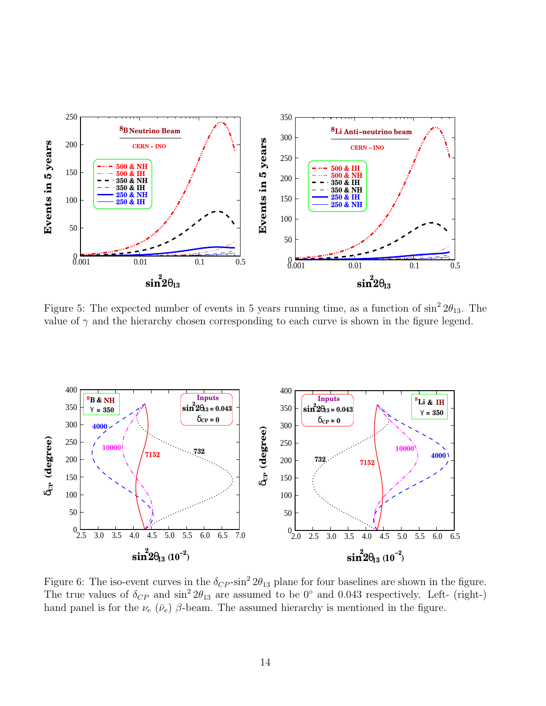

Figure 5: The expected number of events in 5 years running time, as a function of  $\sin^2 2\theta_{13}$ . The value of  $\gamma$  and the hierarchy chosen corresponding to each curve is shown in the figure legend.



Figure 6: The iso-event curves in the  $\delta_{CP}$ -sin<sup>2</sup>  $2\theta_{13}$  plane for four baselines are shown in the figure. The true values of  $\delta_{CP}$  and  $\sin^2 2\theta_{13}$  are assumed to be 0° and 0.043 respectively. Left- (right-) hand panel is for the  $\nu_e$  ( $\bar{\nu}_e$ ) β-beam. The assumed hierarchy is mentioned in the figure.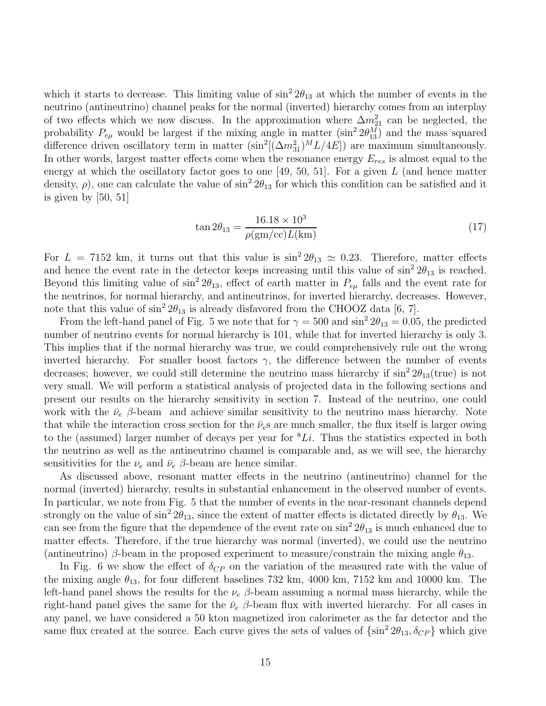which it starts to decrease. This limiting value of  $\sin^2 2\theta_{13}$  at which the number of events in the neutrino (antineutrino) channel peaks for the normal (inverted) hierarchy comes from an interplay of two effects which we now discuss. In the approximation where  $\Delta m_{21}^2$  can be neglected, the probability  $P_{e\mu}$  would be largest if the mixing angle in matter  $(\sin^2 2\theta_{13}^M)$  and the mass squared difference driven oscillatory term in matter  $(\sin^2[(\Delta m_{31}^2)^M L/4E])$  are maximum simultaneously. In other words, largest matter effects come when the resonance energy  $E_{res}$  is almost equal to the energy at which the oscillatory factor goes to one  $[49, 50, 51]$ . For a given L (and hence matter density,  $\rho$ ), one can calculate the value of  $\sin^2 2\theta_{13}$  for which this condition can be satisfied and it is given by [50, 51]

$$
\tan 2\theta_{13} = \frac{16.18 \times 10^3}{\rho(\text{gm/cc})L(\text{km})}
$$
 (17)

For  $L = 7152$  km, it turns out that this value is  $\sin^2 2\theta_{13} \approx 0.23$ . Therefore, matter effects and hence the event rate in the detector keeps increasing until this value of  $\sin^2 2\theta_{13}$  is reached. Beyond this limiting value of  $\sin^2 2\theta_{13}$ , effect of earth matter in  $P_{e\mu}$  falls and the event rate for the neutrinos, for normal hierarchy, and antineutrinos, for inverted hierarchy, decreases. However, note that this value of  $\sin^2 2\theta_{13}$  is already disfavored from the CHOOZ data [6, 7].

From the left-hand panel of Fig. 5 we note that for  $\gamma = 500$  and  $\sin^2 2\theta_{13} = 0.05$ , the predicted number of neutrino events for normal hierarchy is 101, while that for inverted hierarchy is only 3. This implies that if the normal hierarchy was true, we could comprehensively rule out the wrong inverted hierarchy. For smaller boost factors  $\gamma$ , the difference between the number of events decreases; however, we could still determine the neutrino mass hierarchy if  $\sin^2 2\theta_{13}$  (true) is not very small. We will perform a statistical analysis of projected data in the following sections and present our results on the hierarchy sensitivity in section 7. Instead of the neutrino, one could work with the  $\bar{\nu}_e$  β-beam and achieve similar sensitivity to the neutrino mass hierarchy. Note that while the interaction cross section for the  $\bar{\nu}_e$ s are much smaller, the flux itself is larger owing to the (assumed) larger number of decays per year for  ${}^{8}Li$ . Thus the statistics expected in both the neutrino as well as the antineutrino channel is comparable and, as we will see, the hierarchy sensitivities for the  $\nu_e$  and  $\bar{\nu}_e$  β-beam are hence similar.

As discussed above, resonant matter effects in the neutrino (antineutrino) channel for the normal (inverted) hierarchy, results in substantial enhancement in the observed number of events. In particular, we note from Fig. 5 that the number of events in the near-resonant channels depend strongly on the value of  $\sin^2 2\theta_{13}$ , since the extent of matter effects is dictated directly by  $\theta_{13}$ . We can see from the figure that the dependence of the event rate on  $\sin^2 2\theta_{13}$  is much enhanced due to matter effects. Therefore, if the true hierarchy was normal (inverted), we could use the neutrino (antineutrino)  $\beta$ -beam in the proposed experiment to measure/constrain the mixing angle  $\theta_{13}$ .

In Fig. 6 we show the effect of  $\delta_{CP}$  on the variation of the measured rate with the value of the mixing angle  $\theta_{13}$ , for four different baselines 732 km, 4000 km, 7152 km and 10000 km. The left-hand panel shows the results for the  $\nu_e$  β-beam assuming a normal mass hierarchy, while the right-hand panel gives the same for the  $\bar{\nu}_e$  β-beam flux with inverted hierarchy. For all cases in any panel, we have considered a 50 kton magnetized iron calorimeter as the far detector and the same flux created at the source. Each curve gives the sets of values of  $\{\sin^2 2\theta_{13}, \delta_{CP}\}\$  which give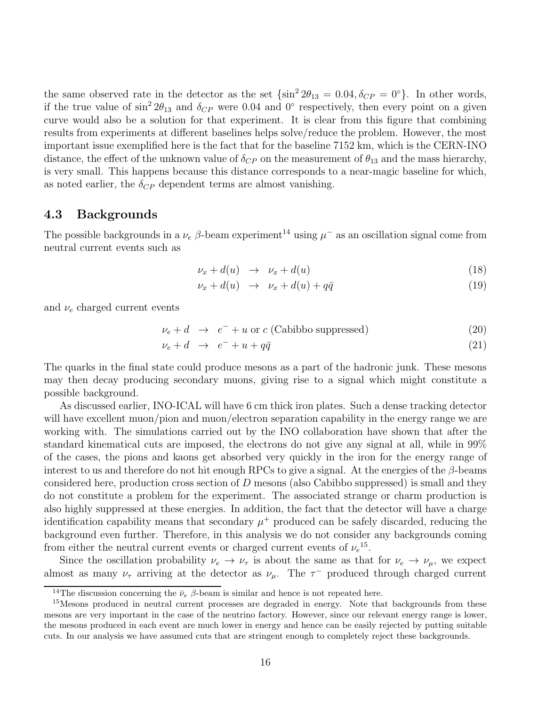the same observed rate in the detector as the set  $\{\sin^2 2\theta_{13} = 0.04, \delta_{CP} = 0^\circ\}$ . In other words, if the true value of  $\sin^2 2\theta_{13}$  and  $\delta_{CP}$  were 0.04 and 0<sup>°</sup> respectively, then every point on a given curve would also be a solution for that experiment. It is clear from this figure that combining results from experiments at different baselines helps solve/reduce the problem. However, the most important issue exemplified here is the fact that for the baseline 7152 km, which is the CERN-INO distance, the effect of the unknown value of  $\delta_{CP}$  on the measurement of  $\theta_{13}$  and the mass hierarchy, is very small. This happens because this distance corresponds to a near-magic baseline for which, as noted earlier, the  $\delta_{CP}$  dependent terms are almost vanishing.

#### 4.3 Backgrounds

The possible backgrounds in a  $\nu_e$  β-beam experiment<sup>14</sup> using  $\mu^-$  as an oscillation signal come from neutral current events such as

$$
\nu_x + d(u) \rightarrow \nu_x + d(u) \tag{18}
$$

$$
\nu_x + d(u) \rightarrow \nu_x + d(u) + q\bar{q} \tag{19}
$$

and  $\nu_e$  charged current events

$$
\nu_e + d \rightarrow e^- + u \text{ or } c \text{ (Cabilbo suppressed)}
$$
 (20)

$$
\nu_e + d \rightarrow e^- + u + q\bar{q} \tag{21}
$$

The quarks in the final state could produce mesons as a part of the hadronic junk. These mesons may then decay producing secondary muons, giving rise to a signal which might constitute a possible background.

As discussed earlier, INO-ICAL will have 6 cm thick iron plates. Such a dense tracking detector will have excellent muon/pion and muon/electron separation capability in the energy range we are working with. The simulations carried out by the INO collaboration have shown that after the standard kinematical cuts are imposed, the electrons do not give any signal at all, while in 99% of the cases, the pions and kaons get absorbed very quickly in the iron for the energy range of interest to us and therefore do not hit enough RPCs to give a signal. At the energies of the  $\beta$ -beams considered here, production cross section of  $D$  mesons (also Cabibbo suppressed) is small and they do not constitute a problem for the experiment. The associated strange or charm production is also highly suppressed at these energies. In addition, the fact that the detector will have a charge identification capability means that secondary  $\mu^+$  produced can be safely discarded, reducing the background even further. Therefore, in this analysis we do not consider any backgrounds coming from either the neutral current events or charged current events of  $\nu_e^{15}$ .

Since the oscillation probability  $\nu_e \to \nu_\tau$  is about the same as that for  $\nu_e \to \nu_\mu$ , we expect almost as many  $\nu_{\tau}$  arriving at the detector as  $\nu_{\mu}$ . The  $\tau^{-}$  produced through charged current

<sup>&</sup>lt;sup>14</sup>The discussion concerning the  $\bar{\nu}_e$  β-beam is similar and hence is not repeated here.

<sup>&</sup>lt;sup>15</sup>Mesons produced in neutral current processes are degraded in energy. Note that backgrounds from these mesons are very important in the case of the neutrino factory. However, since our relevant energy range is lower, the mesons produced in each event are much lower in energy and hence can be easily rejected by putting suitable cuts. In our analysis we have assumed cuts that are stringent enough to completely reject these backgrounds.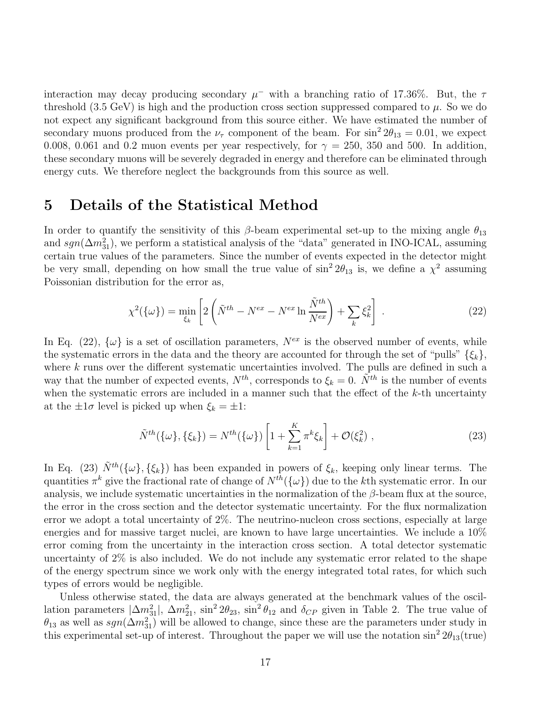interaction may decay producing secondary  $\mu^-$  with a branching ratio of 17.36%. But, the  $\tau$ threshold  $(3.5 \text{ GeV})$  is high and the production cross section suppressed compared to  $\mu$ . So we do not expect any significant background from this source either. We have estimated the number of secondary muons produced from the  $\nu_{\tau}$  component of the beam. For  $\sin^2 2\theta_{13} = 0.01$ , we expect 0.008, 0.061 and 0.2 muon events per year respectively, for  $\gamma = 250$ , 350 and 500. In addition, these secondary muons will be severely degraded in energy and therefore can be eliminated through energy cuts. We therefore neglect the backgrounds from this source as well.

## 5 Details of the Statistical Method

In order to quantify the sensitivity of this  $\beta$ -beam experimental set-up to the mixing angle  $\theta_{13}$ and  $sgn(\Delta m_{31}^2)$ , we perform a statistical analysis of the "data" generated in INO-ICAL, assuming certain true values of the parameters. Since the number of events expected in the detector might be very small, depending on how small the true value of  $\sin^2 2\theta_{13}$  is, we define a  $\chi^2$  assuming Poissonian distribution for the error as,

$$
\chi^2(\{\omega\}) = \min_{\xi_k} \left[ 2\left(\tilde{N}^{th} - N^{ex} - N^{ex} \ln \frac{\tilde{N}^{th}}{N^{ex}}\right) + \sum_k \xi_k^2 \right] \ . \tag{22}
$$

In Eq. (22),  $\{\omega\}$  is a set of oscillation parameters,  $N^{ex}$  is the observed number of events, while the systematic errors in the data and the theory are accounted for through the set of "pulls"  $\{\xi_k\}$ , where  $k$  runs over the different systematic uncertainties involved. The pulls are defined in such a way that the number of expected events,  $N^{th}$ , corresponds to  $\xi_k = 0$ .  $\tilde{N}^{th}$  is the number of events when the systematic errors are included in a manner such that the effect of the  $k$ -th uncertainty at the  $\pm 1\sigma$  level is picked up when  $\xi_k = \pm 1$ :

$$
\tilde{N}^{th}(\{\omega\},\{\xi_k\}) = N^{th}(\{\omega\}) \left[1 + \sum_{k=1}^{K} \pi^k \xi_k \right] + \mathcal{O}(\xi_k^2) \tag{23}
$$

In Eq. (23)  $\tilde{N}^{th}(\{\omega\}, \{\xi_k\})$  has been expanded in powers of  $\xi_k$ , keeping only linear terms. The quantities  $\pi^k$  give the fractional rate of change of  $N^{th}(\{\omega\})$  due to the kth systematic error. In our analysis, we include systematic uncertainties in the normalization of the  $\beta$ -beam flux at the source, the error in the cross section and the detector systematic uncertainty. For the flux normalization error we adopt a total uncertainty of 2%. The neutrino-nucleon cross sections, especially at large energies and for massive target nuclei, are known to have large uncertainties. We include a 10% error coming from the uncertainty in the interaction cross section. A total detector systematic uncertainty of 2% is also included. We do not include any systematic error related to the shape of the energy spectrum since we work only with the energy integrated total rates, for which such types of errors would be negligible.

Unless otherwise stated, the data are always generated at the benchmark values of the oscillation parameters  $|\Delta m_{31}^2|$ ,  $\Delta m_{21}^2$ ,  $\sin^2 2\theta_{23}$ ,  $\sin^2 \theta_{12}$  and  $\delta_{CP}$  given in Table 2. The true value of  $\theta_{13}$  as well as  $sgn(\Delta m_{31}^2)$  will be allowed to change, since these are the parameters under study in this experimental set-up of interest. Throughout the paper we will use the notation  $\sin^2 2\theta_{13}$  (true)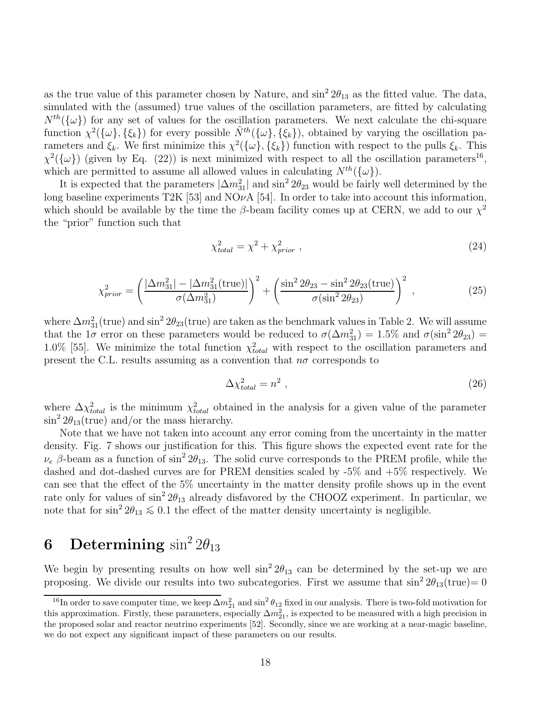as the true value of this parameter chosen by Nature, and  $\sin^2 2\theta_{13}$  as the fitted value. The data, simulated with the (assumed) true values of the oscillation parameters, are fitted by calculating  $N^{th}(\{\omega\})$  for any set of values for the oscillation parameters. We next calculate the chi-square function  $\chi^2(\{\omega\},\{\xi_k\})$  for every possible  $\tilde{N}^{th}(\{\omega\},\{\xi_k\})$ , obtained by varying the oscillation parameters and  $\xi_k$ . We first minimize this  $\chi^2(\{\omega\}, \{\xi_k\})$  function with respect to the pulls  $\xi_k$ . This  $\chi^2(\{\omega\})$  (given by Eq. (22)) is next minimized with respect to all the oscillation parameters<sup>16</sup>, which are permitted to assume all allowed values in calculating  $N^{th}(\{\omega\})$ .

It is expected that the parameters  $|\Delta m_{31}^2|$  and  $\sin^2 2\theta_{23}$  would be fairly well determined by the long baseline experiments T2K [53] and NO $\nu$ A [54]. In order to take into account this information, which should be available by the time the  $\beta$ -beam facility comes up at CERN, we add to our  $\chi^2$ the "prior" function such that

$$
\chi_{total}^2 = \chi^2 + \chi_{prior}^2 \,, \tag{24}
$$

$$
\chi_{prior}^2 = \left(\frac{|\Delta m_{31}^2| - |\Delta m_{31}^2(\text{true})|}{\sigma(\Delta m_{31}^2)}\right)^2 + \left(\frac{\sin^2 2\theta_{23} - \sin^2 2\theta_{23}(\text{true})}{\sigma(\sin^2 2\theta_{23})}\right)^2, \tag{25}
$$

where  $\Delta m_{31}^2(\text{true})$  and  $\sin^2 2\theta_{23}(\text{true})$  are taken as the benchmark values in Table 2. We will assume that the 1 $\sigma$  error on these parameters would be reduced to  $\sigma(\Delta m_{31}^2) = 1.5\%$  and  $\sigma(\sin^2 2\theta_{23}) =$ 1.0% [55]. We minimize the total function  $\chi^2_{total}$  with respect to the oscillation parameters and present the C.L. results assuming as a convention that  $n\sigma$  corresponds to

$$
\Delta \chi_{total}^2 = n^2 \tag{26}
$$

where  $\Delta \chi^2_{total}$  is the minimum  $\chi^2_{total}$  obtained in the analysis for a given value of the parameter  $\sin^2 2\theta_{13}$ (true) and/or the mass hierarchy.

Note that we have not taken into account any error coming from the uncertainty in the matter density. Fig. 7 shows our justification for this. This figure shows the expected event rate for the  $\nu_e$  β-beam as a function of sin<sup>2</sup> 2 $\theta_{13}$ . The solid curve corresponds to the PREM profile, while the dashed and dot-dashed curves are for PREM densities scaled by  $-5\%$  and  $+5\%$  respectively. We can see that the effect of the 5% uncertainty in the matter density profile shows up in the event rate only for values of  $\sin^2 2\theta_{13}$  already disfavored by the CHOOZ experiment. In particular, we note that for  $\sin^2 2\theta_{13} \lesssim 0.1$  the effect of the matter density uncertainty is negligible.

# 6 Determining  $\sin^2 2\theta_{13}$

We begin by presenting results on how well  $\sin^2 2\theta_{13}$  can be determined by the set-up we are proposing. We divide our results into two subcategories. First we assume that  $\sin^2 2\theta_{13}(\text{true}) = 0$ 

<sup>&</sup>lt;sup>16</sup>In order to save computer time, we keep  $\Delta m_{21}^2$  and sin<sup>2</sup>  $\theta_{12}$  fixed in our analysis. There is two-fold motivation for this approximation. Firstly, these parameters, especially  $\Delta m_{21}^2$ , is expected to be measured with a high precision in the proposed solar and reactor neutrino experiments [52]. Secondly, since we are working at a near-magic baseline, we do not expect any significant impact of these parameters on our results.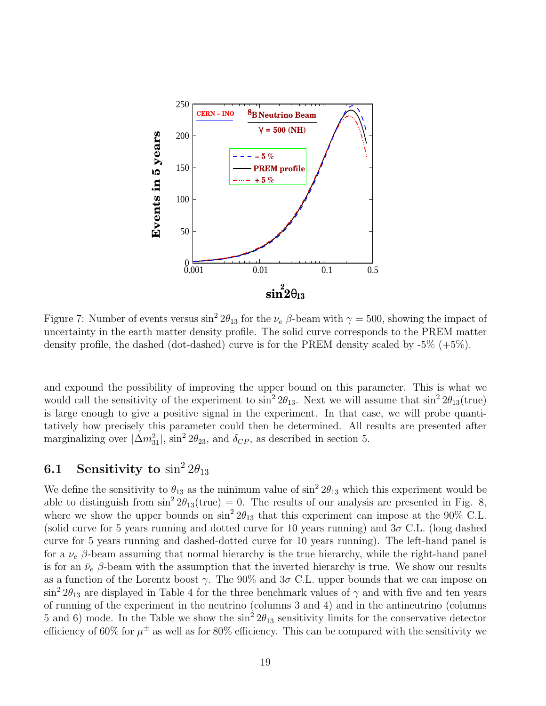

Figure 7: Number of events versus  $\sin^2 2\theta_{13}$  for the  $\nu_e$   $\beta$ -beam with  $\gamma = 500$ , showing the impact of uncertainty in the earth matter density profile. The solid curve corresponds to the PREM matter density profile, the dashed (dot-dashed) curve is for the PREM density scaled by  $-5\%$  ( $+5\%$ ).

and expound the possibility of improving the upper bound on this parameter. This is what we would call the sensitivity of the experiment to  $\sin^2 2\theta_{13}$ . Next we will assume that  $\sin^2 2\theta_{13}$  (true) is large enough to give a positive signal in the experiment. In that case, we will probe quantitatively how precisely this parameter could then be determined. All results are presented after marginalizing over  $|\Delta m_{31}^2|$ ,  $\sin^2 2\theta_{23}$ , and  $\delta_{CP}$ , as described in section 5.

# 6.1 Sensitivity to  $\sin^2 2\theta_{13}$

We define the sensitivity to  $\theta_{13}$  as the minimum value of  $\sin^2 2\theta_{13}$  which this experiment would be able to distinguish from  $\sin^2 2\theta_{13}$ (true) = 0. The results of our analysis are presented in Fig. 8, where we show the upper bounds on  $\sin^2 2\theta_{13}$  that this experiment can impose at the 90% C.L. (solid curve for 5 years running and dotted curve for 10 years running) and  $3\sigma$  C.L. (long dashed curve for 5 years running and dashed-dotted curve for 10 years running). The left-hand panel is for a  $\nu_e$  β-beam assuming that normal hierarchy is the true hierarchy, while the right-hand panel is for an  $\bar{\nu}_e$  β-beam with the assumption that the inverted hierarchy is true. We show our results as a function of the Lorentz boost  $\gamma$ . The 90% and  $3\sigma$  C.L. upper bounds that we can impose on  $\sin^2 2\theta_{13}$  are displayed in Table 4 for the three benchmark values of  $\gamma$  and with five and ten years of running of the experiment in the neutrino (columns 3 and 4) and in the antineutrino (columns 5 and 6) mode. In the Table we show the  $\sin^2 2\theta_{13}$  sensitivity limits for the conservative detector efficiency of 60% for  $\mu^{\pm}$  as well as for 80% efficiency. This can be compared with the sensitivity we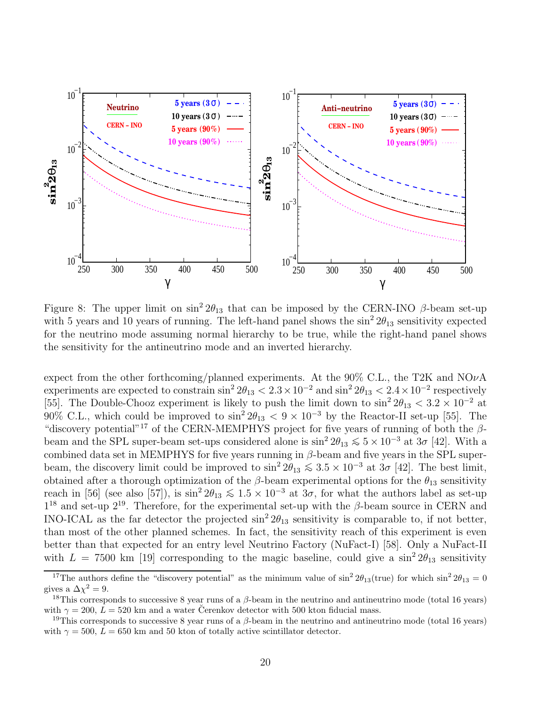

Figure 8: The upper limit on  $\sin^2 2\theta_{13}$  that can be imposed by the CERN-INO  $\beta$ -beam set-up with 5 years and 10 years of running. The left-hand panel shows the  $\sin^2 2\theta_{13}$  sensitivity expected for the neutrino mode assuming normal hierarchy to be true, while the right-hand panel shows the sensitivity for the antineutrino mode and an inverted hierarchy.

expect from the other forthcoming/planned experiments. At the  $90\%$  C.L., the T2K and NO $\nu$ A experiments are expected to constrain  $\sin^2 2\theta_{13} < 2.3 \times 10^{-2}$  and  $\sin^2 2\theta_{13} < 2.4 \times 10^{-2}$  respectively [55]. The Double-Chooz experiment is likely to push the limit down to  $\sin^2 2\theta_{13} < 3.2 \times 10^{-2}$  at 90% C.L., which could be improved to  $\sin^2 2\theta_{13} < 9 \times 10^{-3}$  by the Reactor-II set-up [55]. The "discovery potential"<sup>17</sup> of the CERN-MEMPHYS project for five years of running of both the  $\beta$ beam and the SPL super-beam set-ups considered alone is  $\sin^2 2\theta_{13} \lesssim 5 \times 10^{-3}$  at  $3\sigma$  [42]. With a combined data set in MEMPHYS for five years running in  $\beta$ -beam and five years in the SPL superbeam, the discovery limit could be improved to  $\sin^2 2\theta_{13} \leq 3.5 \times 10^{-3}$  at  $3\sigma$  [42]. The best limit, obtained after a thorough optimization of the  $\beta$ -beam experimental options for the  $\theta_{13}$  sensitivity reach in [56] (see also [57]), is  $\sin^2 2\theta_{13} \leq 1.5 \times 10^{-3}$  at  $3\sigma$ , for what the authors label as set-up  $1^{18}$  and set-up  $2^{19}$ . Therefore, for the experimental set-up with the  $\beta$ -beam source in CERN and INO-ICAL as the far detector the projected  $\sin^2 2\theta_{13}$  sensitivity is comparable to, if not better, than most of the other planned schemes. In fact, the sensitivity reach of this experiment is even better than that expected for an entry level Neutrino Factory (NuFact-I) [58]. Only a NuFact-II with  $L = 7500$  km [19] corresponding to the magic baseline, could give a  $\sin^2 2\theta_{13}$  sensitivity

<sup>&</sup>lt;sup>17</sup>The authors define the "discovery potential" as the minimum value of  $\sin^2 2\theta_{13}$ (true) for which  $\sin^2 2\theta_{13} = 0$ gives a  $\Delta \chi^2 = 9$ .

<sup>&</sup>lt;sup>18</sup>This corresponds to successive 8 year runs of a  $\beta$ -beam in the neutrino and antineutrino mode (total 16 years) with  $\gamma = 200$ ,  $L = 520$  km and a water Cerenkov detector with 500 kton fiducial mass.

<sup>&</sup>lt;sup>19</sup>This corresponds to successive 8 year runs of a  $\beta$ -beam in the neutrino and antineutrino mode (total 16 years) with  $\gamma = 500$ ,  $L = 650$  km and 50 kton of totally active scintillator detector.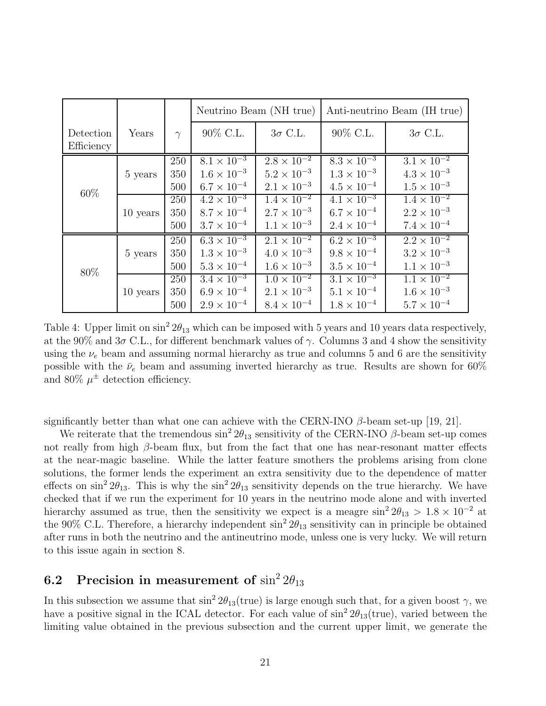|                         |          |                   | Neutrino Beam (NH true)                                              |                                                                      | Anti-neutrino Beam (IH true)                                                    |                                                                      |
|-------------------------|----------|-------------------|----------------------------------------------------------------------|----------------------------------------------------------------------|---------------------------------------------------------------------------------|----------------------------------------------------------------------|
| Detection<br>Efficiency | Years    | $\gamma$          | 90% C.L.                                                             | $3\sigma$ C.L.                                                       | 90\% C.L.                                                                       | $3\sigma$ C.L.                                                       |
| 60%                     | 5 years  | 250<br>350<br>500 | $8.1 \times 10^{-3}$<br>$1.6 \times 10^{-3}$<br>$6.7 \times 10^{-4}$ | $2.8 \times 10^{-2}$<br>$5.2 \times 10^{-3}$<br>$2.1 \times 10^{-3}$ | $8.\overline{3 \times 10^{-3}}$<br>$1.3 \times 10^{-3}$<br>$4.5 \times 10^{-4}$ | $3.1 \times 10^{-2}$<br>$4.3\times10^{-3}$<br>$1.5 \times 10^{-3}$   |
|                         | 10 years | 250<br>350<br>500 | $4.2 \times 10^{-3}$<br>$8.7 \times 10^{-4}$<br>$3.7 \times 10^{-4}$ | $1.4 \times 10^{-2}$<br>$2.7 \times 10^{-3}$<br>$1.1 \times 10^{-3}$ | $4.1 \times 10^{-3}$<br>$6.7 \times 10^{-4}$<br>$2.4 \times 10^{-4}$            | $1.4 \times 10^{-2}$<br>$2.2\times10^{-3}$<br>$7.4 \times 10^{-4}$   |
| 80\%                    | 5 years  | 250<br>350<br>500 | $6.3 \times 10^{-3}$<br>$1.3 \times 10^{-3}$<br>$5.3 \times 10^{-4}$ | $2.1 \times 10^{-2}$<br>$4.0 \times 10^{-3}$<br>$1.6 \times 10^{-3}$ | $6.2 \times 10^{-3}$<br>$9.8 \times 10^{-4}$<br>$3.5 \times 10^{-4}$            | $2.2 \times 10^{-2}$<br>$3.2\times10^{-3}$<br>$1.1 \times 10^{-3}$   |
|                         | 10 years | 250<br>350<br>500 | $3.4 \times 10^{-3}$<br>$6.9 \times 10^{-4}$<br>$2.9 \times 10^{-4}$ | $1.0 \times 10^{-2}$<br>$2.1 \times 10^{-3}$<br>$8.4 \times 10^{-4}$ | $3.1 \times 10^{-3}$<br>$5.1 \times 10^{-4}$<br>$1.8 \times 10^{-4}$            | $1.1 \times 10^{-2}$<br>$1.6 \times 10^{-3}$<br>$5.7 \times 10^{-4}$ |

Table 4: Upper limit on  $\sin^2 2\theta_{13}$  which can be imposed with 5 years and 10 years data respectively, at the 90% and 3σ C.L., for different benchmark values of  $\gamma$ . Columns 3 and 4 show the sensitivity using the  $\nu_e$  beam and assuming normal hierarchy as true and columns 5 and 6 are the sensitivity possible with the  $\bar{\nu}_e$  beam and assuming inverted hierarchy as true. Results are shown for 60% and 80%  $\mu^{\pm}$  detection efficiency.

significantly better than what one can achieve with the CERN-INO  $\beta$ -beam set-up [19, 21].

We reiterate that the tremendous  $\sin^2 2\theta_{13}$  sensitivity of the CERN-INO  $\beta$ -beam set-up comes not really from high  $\beta$ -beam flux, but from the fact that one has near-resonant matter effects at the near-magic baseline. While the latter feature smothers the problems arising from clone solutions, the former lends the experiment an extra sensitivity due to the dependence of matter effects on  $\sin^2 2\theta_{13}$ . This is why the  $\sin^2 2\theta_{13}$  sensitivity depends on the true hierarchy. We have checked that if we run the experiment for 10 years in the neutrino mode alone and with inverted hierarchy assumed as true, then the sensitivity we expect is a meagre  $\sin^2 2\theta_{13} > 1.8 \times 10^{-2}$  at the 90% C.L. Therefore, a hierarchy independent  $\sin^2 2\theta_{13}$  sensitivity can in principle be obtained after runs in both the neutrino and the antineutrino mode, unless one is very lucky. We will return to this issue again in section 8.

# 6.2 Precision in measurement of  $\sin^2 2\theta_{13}$

In this subsection we assume that  $\sin^2 2\theta_{13}$ (true) is large enough such that, for a given boost  $\gamma$ , we have a positive signal in the ICAL detector. For each value of  $\sin^2 2\theta_{13}$  (true), varied between the limiting value obtained in the previous subsection and the current upper limit, we generate the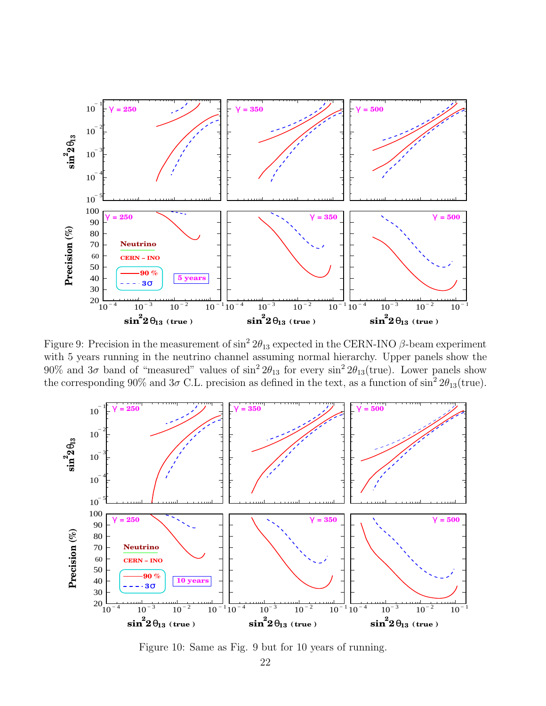

Figure 9: Precision in the measurement of  $\sin^2 2\theta_{13}$  expected in the CERN-INO  $\beta$ -beam experiment with 5 years running in the neutrino channel assuming normal hierarchy. Upper panels show the 90% and  $3\sigma$  band of "measured" values of  $\sin^2 2\theta_{13}$  for every  $\sin^2 2\theta_{13}$  (true). Lower panels show the corresponding 90% and  $3\sigma$  C.L. precision as defined in the text, as a function of  $\sin^2 2\theta_{13}$ (true).



Figure 10: Same as Fig. 9 but for 10 years of running.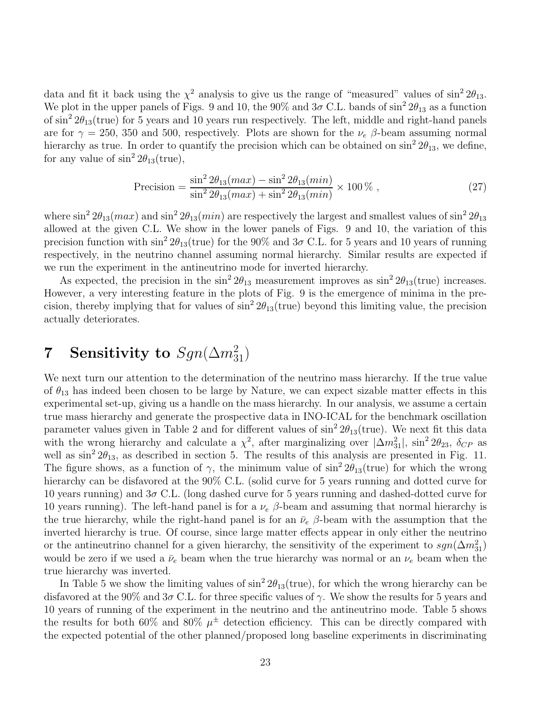data and fit it back using the  $\chi^2$  analysis to give us the range of "measured" values of  $\sin^2 2\theta_{13}$ . We plot in the upper panels of Figs. 9 and 10, the 90% and  $3\sigma$  C.L. bands of  $\sin^2 2\theta_{13}$  as a function of  $\sin^2 2\theta_{13}$ (true) for 5 years and 10 years run respectively. The left, middle and right-hand panels are for  $\gamma = 250$ , 350 and 500, respectively. Plots are shown for the  $\nu_e$  β-beam assuming normal hierarchy as true. In order to quantify the precision which can be obtained on  $\sin^2 2\theta_{13}$ , we define, for any value of  $\sin^2 2\theta_{13}$ (true),

$$
Precision = \frac{\sin^2 2\theta_{13}(max) - \sin^2 2\theta_{13}(min)}{\sin^2 2\theta_{13}(max) + \sin^2 2\theta_{13}(min)} \times 100\% \tag{27}
$$

where  $\sin^2 2\theta_{13}(max)$  and  $\sin^2 2\theta_{13}(min)$  are respectively the largest and smallest values of  $\sin^2 2\theta_{13}$ allowed at the given C.L. We show in the lower panels of Figs. 9 and 10, the variation of this precision function with  $\sin^2 2\theta_{13}$ (true) for the 90% and  $3\sigma$  C.L. for 5 years and 10 years of running respectively, in the neutrino channel assuming normal hierarchy. Similar results are expected if we run the experiment in the antineutrino mode for inverted hierarchy.

As expected, the precision in the  $\sin^2 2\theta_{13}$  measurement improves as  $\sin^2 2\theta_{13}$  (true) increases. However, a very interesting feature in the plots of Fig. 9 is the emergence of minima in the precision, thereby implying that for values of  $\sin^2 2\theta_{13}$  (true) beyond this limiting value, the precision actually deteriorates.

# 7 Sensitivity to  $Sgn(\Delta m^2_{31})$

We next turn our attention to the determination of the neutrino mass hierarchy. If the true value of  $\theta_{13}$  has indeed been chosen to be large by Nature, we can expect sizable matter effects in this experimental set-up, giving us a handle on the mass hierarchy. In our analysis, we assume a certain true mass hierarchy and generate the prospective data in INO-ICAL for the benchmark oscillation parameter values given in Table 2 and for different values of  $\sin^2 2\theta_{13}$  (true). We next fit this data with the wrong hierarchy and calculate a  $\chi^2$ , after marginalizing over  $|\Delta m_{31}^2|$ ,  $\sin^2 2\theta_{23}$ ,  $\delta_{CP}$  as well as  $\sin^2 2\theta_{13}$ , as described in section 5. The results of this analysis are presented in Fig. 11. The figure shows, as a function of  $\gamma$ , the minimum value of  $\sin^2 2\theta_{13}$  (true) for which the wrong hierarchy can be disfavored at the 90% C.L. (solid curve for 5 years running and dotted curve for 10 years running) and  $3\sigma$  C.L. (long dashed curve for 5 years running and dashed-dotted curve for 10 years running). The left-hand panel is for a  $\nu_e$  β-beam and assuming that normal hierarchy is the true hierarchy, while the right-hand panel is for an  $\bar{\nu}_e$  β-beam with the assumption that the inverted hierarchy is true. Of course, since large matter effects appear in only either the neutrino or the antineutrino channel for a given hierarchy, the sensitivity of the experiment to  $sgn(\Delta m_{31}^2)$ would be zero if we used a  $\bar{\nu}_e$  beam when the true hierarchy was normal or an  $\nu_e$  beam when the true hierarchy was inverted.

In Table 5 we show the limiting values of  $\sin^2 2\theta_{13}$  (true), for which the wrong hierarchy can be disfavored at the 90% and  $3\sigma$  C.L. for three specific values of  $\gamma$ . We show the results for 5 years and 10 years of running of the experiment in the neutrino and the antineutrino mode. Table 5 shows the results for both 60% and 80%  $\mu^{\pm}$  detection efficiency. This can be directly compared with the expected potential of the other planned/proposed long baseline experiments in discriminating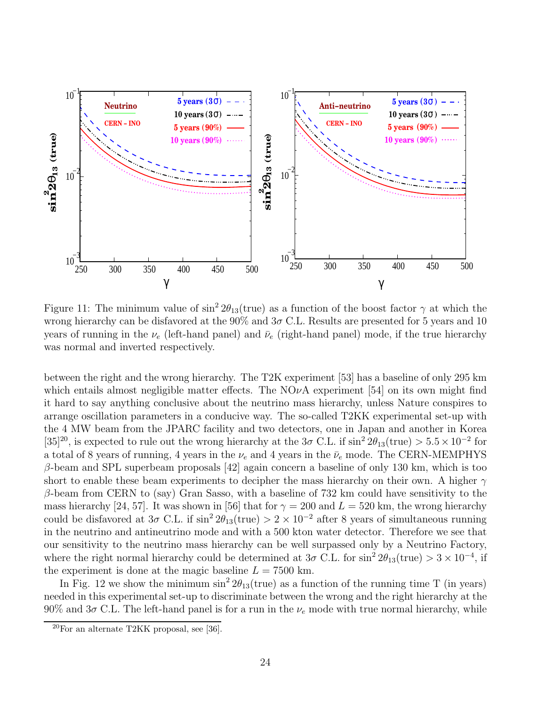

Figure 11: The minimum value of  $\sin^2 2\theta_{13}$ (true) as a function of the boost factor  $\gamma$  at which the wrong hierarchy can be disfavored at the  $90\%$  and  $3\sigma$  C.L. Results are presented for 5 years and 10 years of running in the  $\nu_e$  (left-hand panel) and  $\bar{\nu}_e$  (right-hand panel) mode, if the true hierarchy was normal and inverted respectively.

between the right and the wrong hierarchy. The T2K experiment [53] has a baseline of only 295 km which entails almost negligible matter effects. The  $NO\nu A$  experiment [54] on its own might find it hard to say anything conclusive about the neutrino mass hierarchy, unless Nature conspires to arrange oscillation parameters in a conducive way. The so-called T2KK experimental set-up with the 4 MW beam from the JPARC facility and two detectors, one in Japan and another in Korea  $[35]^{20}$ , is expected to rule out the wrong hierarchy at the  $3\sigma$  C.L. if  $\sin^2 2\theta_{13}$ (true) >  $5.5 \times 10^{-2}$  for a total of 8 years of running, 4 years in the  $\nu_e$  and 4 years in the  $\bar{\nu}_e$  mode. The CERN-MEMPHYS  $\beta$ -beam and SPL superbeam proposals [42] again concern a baseline of only 130 km, which is too short to enable these beam experiments to decipher the mass hierarchy on their own. A higher  $\gamma$  $\beta$ -beam from CERN to (say) Gran Sasso, with a baseline of 732 km could have sensitivity to the mass hierarchy [24, 57]. It was shown in [56] that for  $\gamma = 200$  and  $L = 520$  km, the wrong hierarchy could be disfavored at  $3\sigma$  C.L. if  $\sin^2 2\theta_{13}$ (true) >  $2 \times 10^{-2}$  after 8 years of simultaneous running in the neutrino and antineutrino mode and with a 500 kton water detector. Therefore we see that our sensitivity to the neutrino mass hierarchy can be well surpassed only by a Neutrino Factory, where the right normal hierarchy could be determined at  $3\sigma$  C.L. for  $\sin^2 2\theta_{13}$ (true)  $> 3 \times 10^{-4}$ , if the experiment is done at the magic baseline  $L = 7500$  km.

In Fig. 12 we show the minimum  $\sin^2 2\theta_{13}$  (true) as a function of the running time T (in years) needed in this experimental set-up to discriminate between the wrong and the right hierarchy at the 90% and  $3\sigma$  C.L. The left-hand panel is for a run in the  $\nu_e$  mode with true normal hierarchy, while

 $20$ For an alternate T2KK proposal, see [36].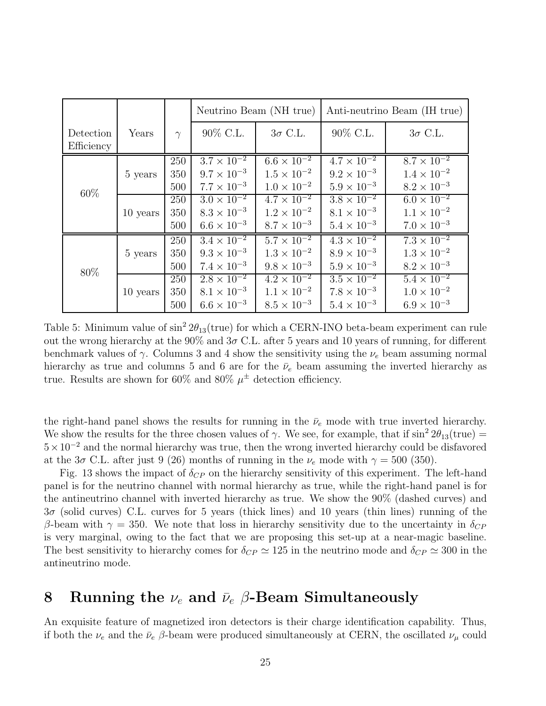|                         |          |                   | Neutrino Beam (NH true)                                              |                                                                      | Anti-neutrino Beam (IH true)                                         |                                                                      |
|-------------------------|----------|-------------------|----------------------------------------------------------------------|----------------------------------------------------------------------|----------------------------------------------------------------------|----------------------------------------------------------------------|
| Detection<br>Efficiency | Years    | $\gamma$          | 90% C.L.                                                             | $3\sigma$ C.L.                                                       | 90% C.L.                                                             | $3\sigma$ C.L.                                                       |
| 60%                     | 5 years  | 250<br>350<br>500 | $3.7 \times 10^{-2}$<br>$9.7 \times 10^{-3}$<br>$7.7 \times 10^{-3}$ | $6.6 \times 10^{-2}$<br>$1.5 \times 10^{-2}$<br>$1.0 \times 10^{-2}$ | $4.7 \times 10^{-2}$<br>$9.2 \times 10^{-3}$<br>$5.9 \times 10^{-3}$ | $8.7 \times 10^{-2}$<br>$1.4 \times 10^{-2}$<br>$8.2 \times 10^{-3}$ |
|                         | 10 years | 250<br>350<br>500 | $3.0 \times 10^{-2}$<br>$8.3 \times 10^{-3}$<br>$6.6 \times 10^{-3}$ | $4.7 \times 10^{-2}$<br>$1.2 \times 10^{-2}$<br>$8.7 \times 10^{-3}$ | $3.8 \times 10^{-2}$<br>$8.1 \times 10^{-3}$<br>$5.4 \times 10^{-3}$ | $6.0 \times 10^{-2}$<br>$1.1 \times 10^{-2}$<br>$7.0 \times 10^{-3}$ |
| 80\%                    | 5 years  | 250<br>350<br>500 | $3.4 \times 10^{-2}$<br>$9.3 \times 10^{-3}$<br>$7.4 \times 10^{-3}$ | $5.7 \times 10^{-2}$<br>$1.3 \times 10^{-2}$<br>$9.8 \times 10^{-3}$ | $4.3 \times 10^{-2}$<br>$8.9 \times 10^{-3}$<br>$5.9 \times 10^{-3}$ | $7.3 \times 10^{-2}$<br>$1.3\times10^{-2}$<br>$8.2 \times 10^{-3}$   |
|                         | 10 years | 250<br>350<br>500 | $2.8 \times 10^{-2}$<br>$8.1 \times 10^{-3}$<br>$6.6 \times 10^{-3}$ | $4.2 \times 10^{-2}$<br>$1.1 \times 10^{-2}$<br>$8.5 \times 10^{-3}$ | $3.5 \times 10^{-2}$<br>$7.8 \times 10^{-3}$<br>$5.4 \times 10^{-3}$ | $5.4 \times 10^{-2}$<br>$1.0 \times 10^{-2}$<br>$6.9 \times 10^{-3}$ |

Table 5: Minimum value of  $\sin^2 2\theta_{13}$ (true) for which a CERN-INO beta-beam experiment can rule out the wrong hierarchy at the 90% and  $3\sigma$  C.L. after 5 years and 10 years of running, for different benchmark values of  $\gamma$ . Columns 3 and 4 show the sensitivity using the  $\nu_e$  beam assuming normal hierarchy as true and columns 5 and 6 are for the  $\bar{\nu}_e$  beam assuming the inverted hierarchy as true. Results are shown for 60% and 80%  $\mu^{\pm}$  detection efficiency.

the right-hand panel shows the results for running in the  $\bar{\nu}_e$  mode with true inverted hierarchy. We show the results for the three chosen values of  $\gamma$ . We see, for example, that if  $\sin^2 2\theta_{13}$ (true) =  $5 \times 10^{-2}$  and the normal hierarchy was true, then the wrong inverted hierarchy could be disfavored at the  $3\sigma$  C.L. after just 9 (26) months of running in the  $\nu_e$  mode with  $\gamma = 500$  (350).

Fig. 13 shows the impact of  $\delta_{CP}$  on the hierarchy sensitivity of this experiment. The left-hand panel is for the neutrino channel with normal hierarchy as true, while the right-hand panel is for the antineutrino channel with inverted hierarchy as true. We show the 90% (dashed curves) and  $3\sigma$  (solid curves) C.L. curves for 5 years (thick lines) and 10 years (thin lines) running of the β-beam with  $\gamma = 350$ . We note that loss in hierarchy sensitivity due to the uncertainty in  $\delta_{CP}$ is very marginal, owing to the fact that we are proposing this set-up at a near-magic baseline. The best sensitivity to hierarchy comes for  $\delta_{CP} \simeq 125$  in the neutrino mode and  $\delta_{CP} \simeq 300$  in the antineutrino mode.

# 8 Running the  $\nu_e$  and  $\bar{\nu}_e$  β-Beam Simultaneously

An exquisite feature of magnetized iron detectors is their charge identification capability. Thus, if both the  $\nu_e$  and the  $\bar{\nu}_e$  β-beam were produced simultaneously at CERN, the oscillated  $\nu_\mu$  could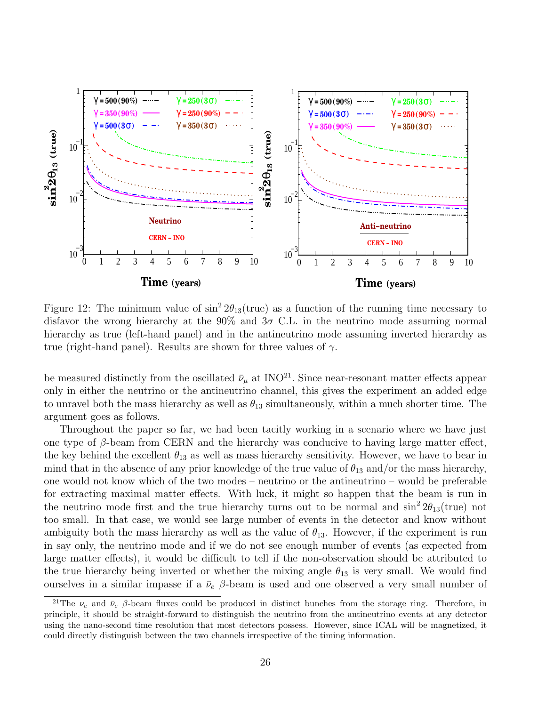

Figure 12: The minimum value of  $\sin^2 2\theta_{13}$  (true) as a function of the running time necessary to disfavor the wrong hierarchy at the  $90\%$  and  $3\sigma$  C.L. in the neutrino mode assuming normal hierarchy as true (left-hand panel) and in the antineutrino mode assuming inverted hierarchy as true (right-hand panel). Results are shown for three values of  $\gamma$ .

be measured distinctly from the oscillated  $\bar{\nu}_{\mu}$  at INO<sup>21</sup>. Since near-resonant matter effects appear only in either the neutrino or the antineutrino channel, this gives the experiment an added edge to unravel both the mass hierarchy as well as  $\theta_{13}$  simultaneously, within a much shorter time. The argument goes as follows.

Throughout the paper so far, we had been tacitly working in a scenario where we have just one type of  $\beta$ -beam from CERN and the hierarchy was conducive to having large matter effect, the key behind the excellent  $\theta_{13}$  as well as mass hierarchy sensitivity. However, we have to bear in mind that in the absence of any prior knowledge of the true value of  $\theta_{13}$  and/or the mass hierarchy, one would not know which of the two modes – neutrino or the antineutrino – would be preferable for extracting maximal matter effects. With luck, it might so happen that the beam is run in the neutrino mode first and the true hierarchy turns out to be normal and  $\sin^2 2\theta_{13}$  (true) not too small. In that case, we would see large number of events in the detector and know without ambiguity both the mass hierarchy as well as the value of  $\theta_{13}$ . However, if the experiment is run in say only, the neutrino mode and if we do not see enough number of events (as expected from large matter effects), it would be difficult to tell if the non-observation should be attributed to the true hierarchy being inverted or whether the mixing angle  $\theta_{13}$  is very small. We would find ourselves in a similar impasse if a  $\bar{\nu}_e$  β-beam is used and one observed a very small number of

<sup>&</sup>lt;sup>21</sup>The  $\nu_e$  and  $\bar{\nu}_e$  β-beam fluxes could be produced in distinct bunches from the storage ring. Therefore, in principle, it should be straight-forward to distinguish the neutrino from the antineutrino events at any detector using the nano-second time resolution that most detectors possess. However, since ICAL will be magnetized, it could directly distinguish between the two channels irrespective of the timing information.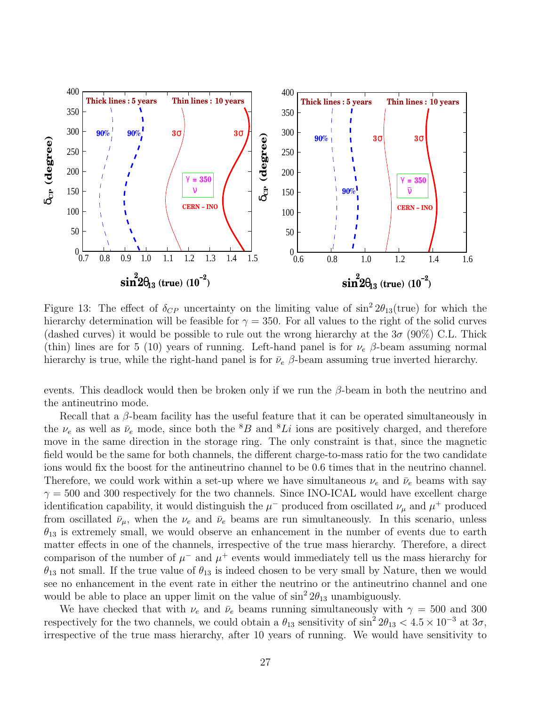

Figure 13: The effect of  $\delta_{CP}$  uncertainty on the limiting value of  $\sin^2 2\theta_{13}$ (true) for which the hierarchy determination will be feasible for  $\gamma = 350$ . For all values to the right of the solid curves (dashed curves) it would be possible to rule out the wrong hierarchy at the  $3\sigma$  (90%) C.L. Thick (thin) lines are for 5 (10) years of running. Left-hand panel is for  $\nu_e$  β-beam assuming normal hierarchy is true, while the right-hand panel is for  $\bar{\nu}_e$  β-beam assuming true inverted hierarchy.

events. This deadlock would then be broken only if we run the  $\beta$ -beam in both the neutrino and the antineutrino mode.

Recall that a  $\beta$ -beam facility has the useful feature that it can be operated simultaneously in the  $\nu_e$  as well as  $\bar{\nu}_e$  mode, since both the <sup>8</sup>B and <sup>8</sup>Li ions are positively charged, and therefore move in the same direction in the storage ring. The only constraint is that, since the magnetic field would be the same for both channels, the different charge-to-mass ratio for the two candidate ions would fix the boost for the antineutrino channel to be 0.6 times that in the neutrino channel. Therefore, we could work within a set-up where we have simultaneous  $\nu_e$  and  $\bar{\nu}_e$  beams with say  $\gamma = 500$  and 300 respectively for the two channels. Since INO-ICAL would have excellent charge identification capability, it would distinguish the  $\mu^-$  produced from oscillated  $\nu_\mu$  and  $\mu^+$  produced from oscillated  $\bar{\nu}_{\mu}$ , when the  $\nu_e$  and  $\bar{\nu}_e$  beams are run simultaneously. In this scenario, unless  $\theta_{13}$  is extremely small, we would observe an enhancement in the number of events due to earth matter effects in one of the channels, irrespective of the true mass hierarchy. Therefore, a direct comparison of the number of  $\mu^-$  and  $\mu^+$  events would immediately tell us the mass hierarchy for  $\theta_{13}$  not small. If the true value of  $\theta_{13}$  is indeed chosen to be very small by Nature, then we would see no enhancement in the event rate in either the neutrino or the antineutrino channel and one would be able to place an upper limit on the value of  $\sin^2 2\theta_{13}$  unambiguously.

We have checked that with  $\nu_e$  and  $\bar{\nu}_e$  beams running simultaneously with  $\gamma = 500$  and 300 respectively for the two channels, we could obtain a  $\theta_{13}$  sensitivity of  $\sin^2 2\theta_{13} < 4.5 \times 10^{-3}$  at  $3\sigma$ , irrespective of the true mass hierarchy, after 10 years of running. We would have sensitivity to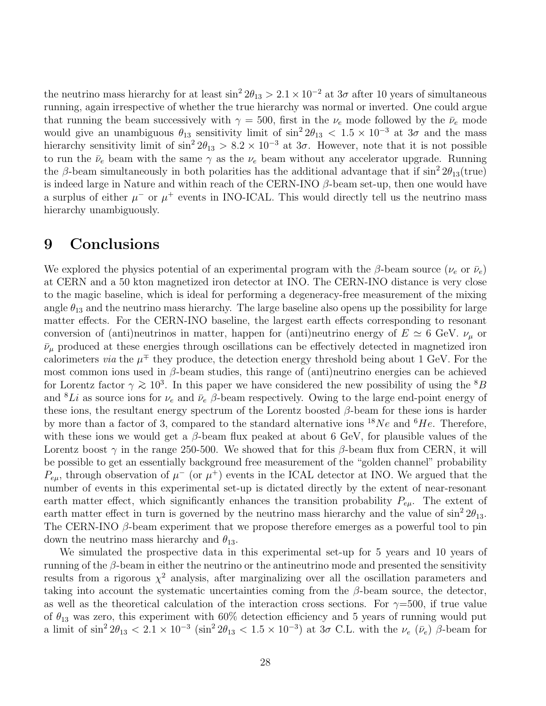the neutrino mass hierarchy for at least  $\sin^2 2\theta_{13} > 2.1 \times 10^{-2}$  at  $3\sigma$  after 10 years of simultaneous running, again irrespective of whether the true hierarchy was normal or inverted. One could argue that running the beam successively with  $\gamma = 500$ , first in the  $\nu_e$  mode followed by the  $\bar{\nu}_e$  mode would give an unambiguous  $\theta_{13}$  sensitivity limit of  $\sin^2 2\theta_{13} < 1.5 \times 10^{-3}$  at  $3\sigma$  and the mass hierarchy sensitivity limit of  $\sin^2 2\theta_{13} > 8.2 \times 10^{-3}$  at  $3\sigma$ . However, note that it is not possible to run the  $\bar{\nu}_e$  beam with the same  $\gamma$  as the  $\nu_e$  beam without any accelerator upgrade. Running the  $\beta$ -beam simultaneously in both polarities has the additional advantage that if  $\sin^2 2\theta_{13}$ (true) is indeed large in Nature and within reach of the CERN-INO  $\beta$ -beam set-up, then one would have a surplus of either  $\mu^-$  or  $\mu^+$  events in INO-ICAL. This would directly tell us the neutrino mass hierarchy unambiguously.

## 9 Conclusions

We explored the physics potential of an experimental program with the  $\beta$ -beam source ( $\nu_e$  or  $\bar{\nu}_e$ ) at CERN and a 50 kton magnetized iron detector at INO. The CERN-INO distance is very close to the magic baseline, which is ideal for performing a degeneracy-free measurement of the mixing angle  $\theta_{13}$  and the neutrino mass hierarchy. The large baseline also opens up the possibility for large matter effects. For the CERN-INO baseline, the largest earth effects corresponding to resonant conversion of (anti)neutrinos in matter, happen for (anti)neutrino energy of  $E \simeq 6$  GeV.  $\nu_{\mu}$  or  $\bar{\nu}_{\mu}$  produced at these energies through oscillations can be effectively detected in magnetized iron calorimeters via the  $\mu^{\mp}$  they produce, the detection energy threshold being about 1 GeV. For the most common ions used in  $\beta$ -beam studies, this range of (anti)neutrino energies can be achieved for Lorentz factor  $\gamma \gtrsim 10^3$ . In this paper we have considered the new possibility of using the <sup>8</sup>B and <sup>8</sup>Li as source ions for  $\nu_e$  and  $\bar{\nu}_e$  β-beam respectively. Owing to the large end-point energy of these ions, the resultant energy spectrum of the Lorentz boosted  $\beta$ -beam for these ions is harder by more than a factor of 3, compared to the standard alternative ions  $^{18}Ne$  and  $^{6}He$ . Therefore, with these ions we would get a  $\beta$ -beam flux peaked at about 6 GeV, for plausible values of the Lorentz boost  $\gamma$  in the range 250-500. We showed that for this β-beam flux from CERN, it will be possible to get an essentially background free measurement of the "golden channel" probability  $P_{e\mu}$ , through observation of  $\mu^-$  (or  $\mu^+$ ) events in the ICAL detector at INO. We argued that the number of events in this experimental set-up is dictated directly by the extent of near-resonant earth matter effect, which significantly enhances the transition probability  $P_{e\mu}$ . The extent of earth matter effect in turn is governed by the neutrino mass hierarchy and the value of  $\sin^2 2\theta_{13}$ . The CERN-INO  $\beta$ -beam experiment that we propose therefore emerges as a powerful tool to pin down the neutrino mass hierarchy and  $\theta_{13}$ .

We simulated the prospective data in this experimental set-up for 5 years and 10 years of running of the  $\beta$ -beam in either the neutrino or the antineutrino mode and presented the sensitivity results from a rigorous  $\chi^2$  analysis, after marginalizing over all the oscillation parameters and taking into account the systematic uncertainties coming from the  $\beta$ -beam source, the detector, as well as the theoretical calculation of the interaction cross sections. For  $\gamma=500$ , if true value of  $\theta_{13}$  was zero, this experiment with 60% detection efficiency and 5 years of running would put a limit of  $\sin^2 2\theta_{13} < 2.1 \times 10^{-3}$   $(\sin^2 2\theta_{13} < 1.5 \times 10^{-3})$  at  $3\sigma$  C.L. with the  $\nu_e$  ( $\bar{\nu}_e$ )  $\beta$ -beam for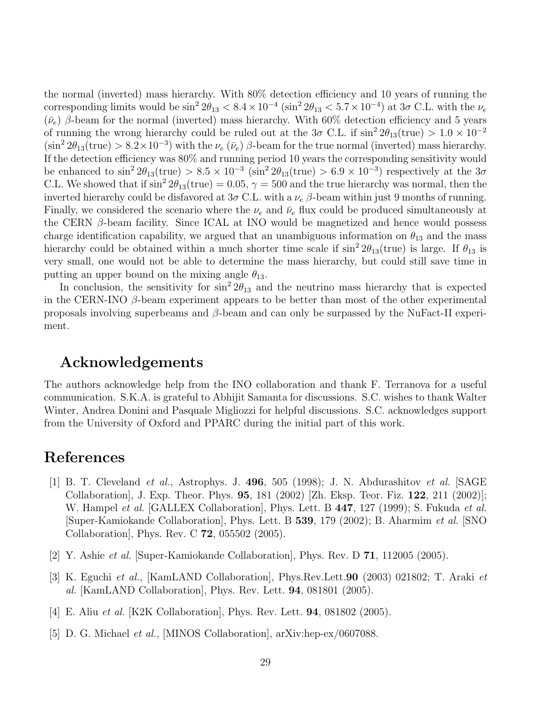the normal (inverted) mass hierarchy. With 80% detection efficiency and 10 years of running the corresponding limits would be  $\sin^2 2\theta_{13} < 8.4 \times 10^{-4}$   $(\sin^2 2\theta_{13} < 5.7 \times 10^{-4})$  at  $3\sigma$  C.L. with the  $\nu_e$  $(\bar{\nu}_e)$  β-beam for the normal (inverted) mass hierarchy. With 60% detection efficiency and 5 years of running the wrong hierarchy could be ruled out at the  $3\sigma$  C.L. if  $\sin^2 2\theta_{13}$ (true) >  $1.0 \times 10^{-2}$  $(\sin^2 2\theta_{13}(\text{true}) > 8.2 \times 10^{-3})$  with the  $\nu_e$  ( $\bar{\nu}_e$ )  $\beta$ -beam for the true normal (inverted) mass hierarchy. If the detection efficiency was 80% and running period 10 years the corresponding sensitivity would be enhanced to  $\sin^2 2\theta_{13}(\text{true}) > 8.5 \times 10^{-3}$   $(\sin^2 2\theta_{13}(\text{true}) > 6.9 \times 10^{-3})$  respectively at the  $3\sigma$ C.L. We showed that if  $\sin^2 2\theta_{13}$ (true) = 0.05,  $\gamma = 500$  and the true hierarchy was normal, then the inverted hierarchy could be disfavored at  $3\sigma$  C.L. with a  $\nu_e$  β-beam within just 9 months of running. Finally, we considered the scenario where the  $\nu_e$  and  $\bar{\nu}_e$  flux could be produced simultaneously at the CERN  $\beta$ -beam facility. Since ICAL at INO would be magnetized and hence would possess charge identification capability, we argued that an unambiguous information on  $\theta_{13}$  and the mass hierarchy could be obtained within a much shorter time scale if  $\sin^2 2\theta_{13}$  (true) is large. If  $\theta_{13}$  is very small, one would not be able to determine the mass hierarchy, but could still save time in putting an upper bound on the mixing angle  $\theta_{13}$ .

In conclusion, the sensitivity for  $\sin^2 2\theta_{13}$  and the neutrino mass hierarchy that is expected in the CERN-INO  $\beta$ -beam experiment appears to be better than most of the other experimental proposals involving superbeams and  $\beta$ -beam and can only be surpassed by the NuFact-II experiment.

### Acknowledgements

The authors acknowledge help from the INO collaboration and thank F. Terranova for a useful communication. S.K.A. is grateful to Abhijit Samanta for discussions. S.C. wishes to thank Walter Winter, Andrea Donini and Pasquale Migliozzi for helpful discussions. S.C. acknowledges support from the University of Oxford and PPARC during the initial part of this work.

## References

- [1] B. T. Cleveland et al., Astrophys. J. 496, 505 (1998); J. N. Abdurashitov et al. [SAGE Collaboration], J. Exp. Theor. Phys. 95, 181 (2002) [Zh. Eksp. Teor. Fiz. 122, 211 (2002)]; W. Hampel *et al.* [GALLEX Collaboration], Phys. Lett. B 447, 127 (1999); S. Fukuda *et al.* [Super-Kamiokande Collaboration], Phys. Lett. B 539, 179 (2002); B. Aharmim et al. [SNO Collaboration], Phys. Rev. C 72, 055502 (2005).
- [2] Y. Ashie et al. [Super-Kamiokande Collaboration], Phys. Rev. D 71, 112005 (2005).
- [3] K. Eguchi et al., [KamLAND Collaboration], Phys.Rev.Lett.90 (2003) 021802; T. Araki et al. [KamLAND Collaboration], Phys. Rev. Lett. 94, 081801 (2005).
- [4] E. Aliu et al. [K2K Collaboration], Phys. Rev. Lett. 94, 081802 (2005).
- [5] D. G. Michael et al., [MINOS Collaboration], arXiv:hep-ex/0607088.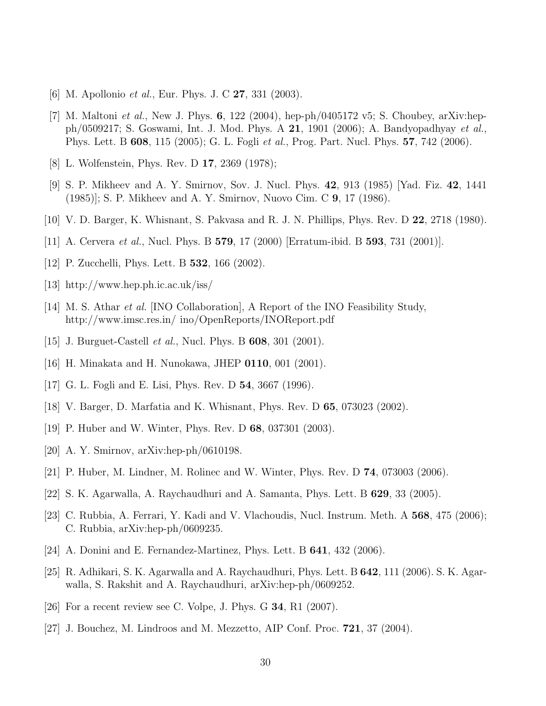- [6] M. Apollonio et al., Eur. Phys. J. C 27, 331 (2003).
- [7] M. Maltoni *et al.*, New J. Phys. **6**, 122 (2004), hep-ph/0405172 v5; S. Choubey, arXiv:hepph/0509217; S. Goswami, Int. J. Mod. Phys. A 21, 1901 (2006); A. Bandyopadhyay et al., Phys. Lett. B 608, 115 (2005); G. L. Fogli et al., Prog. Part. Nucl. Phys. 57, 742 (2006).
- [8] L. Wolfenstein, Phys. Rev. D 17, 2369 (1978);
- [9] S. P. Mikheev and A. Y. Smirnov, Sov. J. Nucl. Phys. 42, 913 (1985) [Yad. Fiz. 42, 1441 (1985)]; S. P. Mikheev and A. Y. Smirnov, Nuovo Cim. C 9, 17 (1986).
- [10] V. D. Barger, K. Whisnant, S. Pakvasa and R. J. N. Phillips, Phys. Rev. D 22, 2718 (1980).
- [11] A. Cervera *et al.*, Nucl. Phys. B **579**, 17 (2000) [Erratum-ibid. B **593**, 731 (2001)].
- [12] P. Zucchelli, Phys. Lett. B **532**, 166 (2002).
- [13] http://www.hep.ph.ic.ac.uk/iss/
- [14] M. S. Athar et al. [INO Collaboration], A Report of the INO Feasibility Study, http://www.imsc.res.in/ ino/OpenReports/INOReport.pdf
- [15] J. Burguet-Castell *et al.*, Nucl. Phys. B **608**, 301 (2001).
- [16] H. Minakata and H. Nunokawa, JHEP 0110, 001 (2001).
- [17] G. L. Fogli and E. Lisi, Phys. Rev. D 54, 3667 (1996).
- [18] V. Barger, D. Marfatia and K. Whisnant, Phys. Rev. D 65, 073023 (2002).
- [19] P. Huber and W. Winter, Phys. Rev. D 68, 037301 (2003).
- [20] A. Y. Smirnov, arXiv:hep-ph/0610198.
- [21] P. Huber, M. Lindner, M. Rolinec and W. Winter, Phys. Rev. D 74, 073003 (2006).
- [22] S. K. Agarwalla, A. Raychaudhuri and A. Samanta, Phys. Lett. B 629, 33 (2005).
- [23] C. Rubbia, A. Ferrari, Y. Kadi and V. Vlachoudis, Nucl. Instrum. Meth. A 568, 475 (2006); C. Rubbia, arXiv:hep-ph/0609235.
- [24] A. Donini and E. Fernandez-Martinez, Phys. Lett. B **641**, 432 (2006).
- [25] R. Adhikari, S. K. Agarwalla and A. Raychaudhuri, Phys. Lett. B 642, 111 (2006). S. K. Agarwalla, S. Rakshit and A. Raychaudhuri, arXiv:hep-ph/0609252.
- [26] For a recent review see C. Volpe, J. Phys. G 34, R1 (2007).
- [27] J. Bouchez, M. Lindroos and M. Mezzetto, AIP Conf. Proc. 721, 37 (2004).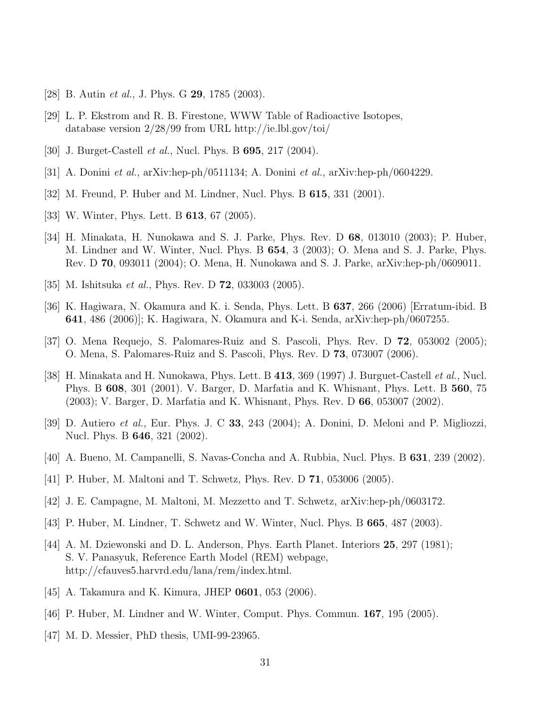- [28] B. Autin *et al.*, J. Phys. G **29**, 1785 (2003).
- [29] L. P. Ekstrom and R. B. Firestone, WWW Table of Radioactive Isotopes, database version 2/28/99 from URL http://ie.lbl.gov/toi/
- [30] J. Burget-Castell *et al.*, Nucl. Phys. B **695**, 217 (2004).
- [31] A. Donini et al., arXiv:hep-ph/0511134; A. Donini et al., arXiv:hep-ph/0604229.
- [32] M. Freund, P. Huber and M. Lindner, Nucl. Phys. B 615, 331 (2001).
- [33] W. Winter, Phys. Lett. B **613**, 67 (2005).
- [34] H. Minakata, H. Nunokawa and S. J. Parke, Phys. Rev. D 68, 013010 (2003); P. Huber, M. Lindner and W. Winter, Nucl. Phys. B 654, 3 (2003); O. Mena and S. J. Parke, Phys. Rev. D 70, 093011 (2004); O. Mena, H. Nunokawa and S. J. Parke, arXiv:hep-ph/0609011.
- [35] M. Ishitsuka *et al.*, Phys. Rev. D **72**, 033003 (2005).
- [36] K. Hagiwara, N. Okamura and K. i. Senda, Phys. Lett. B 637, 266 (2006) [Erratum-ibid. B 641, 486 (2006)]; K. Hagiwara, N. Okamura and K-i. Senda, arXiv:hep-ph/0607255.
- [37] O. Mena Requejo, S. Palomares-Ruiz and S. Pascoli, Phys. Rev. D 72, 053002 (2005); O. Mena, S. Palomares-Ruiz and S. Pascoli, Phys. Rev. D 73, 073007 (2006).
- [38] H. Minakata and H. Nunokawa, Phys. Lett. B 413, 369 (1997) J. Burguet-Castell *et al.*, Nucl. Phys. B 608, 301 (2001). V. Barger, D. Marfatia and K. Whisnant, Phys. Lett. B 560, 75 (2003); V. Barger, D. Marfatia and K. Whisnant, Phys. Rev. D 66, 053007 (2002).
- [39] D. Autiero et al., Eur. Phys. J. C 33, 243 (2004); A. Donini, D. Meloni and P. Migliozzi, Nucl. Phys. B 646, 321 (2002).
- [40] A. Bueno, M. Campanelli, S. Navas-Concha and A. Rubbia, Nucl. Phys. B 631, 239 (2002).
- [41] P. Huber, M. Maltoni and T. Schwetz, Phys. Rev. D 71, 053006 (2005).
- [42] J. E. Campagne, M. Maltoni, M. Mezzetto and T. Schwetz, arXiv:hep-ph/0603172.
- [43] P. Huber, M. Lindner, T. Schwetz and W. Winter, Nucl. Phys. B 665, 487 (2003).
- [44] A. M. Dziewonski and D. L. Anderson, Phys. Earth Planet. Interiors 25, 297 (1981); S. V. Panasyuk, Reference Earth Model (REM) webpage, http://cfauves5.harvrd.edu/lana/rem/index.html.
- [45] A. Takamura and K. Kimura, JHEP 0601, 053 (2006).
- [46] P. Huber, M. Lindner and W. Winter, Comput. Phys. Commun. 167, 195 (2005).
- [47] M. D. Messier, PhD thesis, UMI-99-23965.